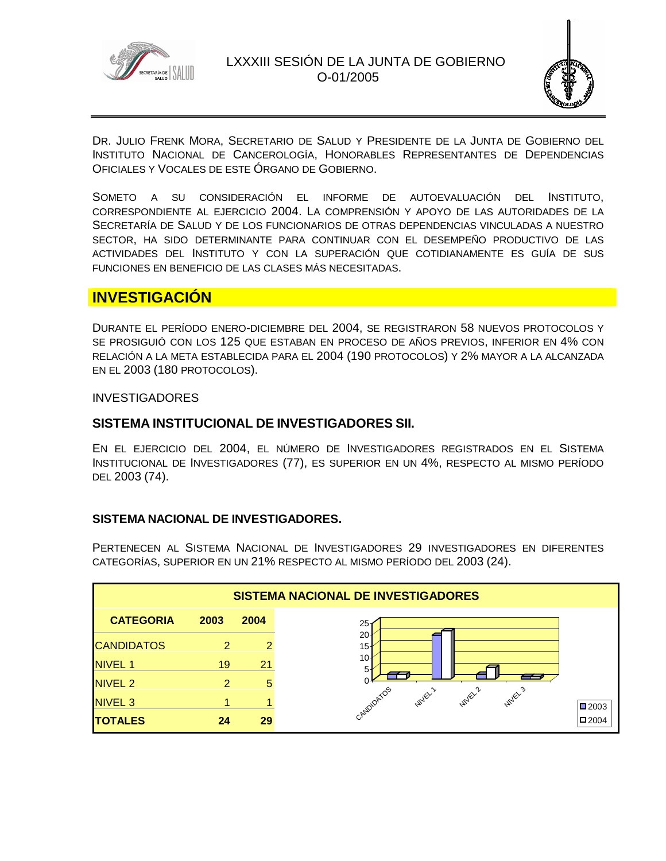



DR. JULIO FRENK MORA, SECRETARIO DE SALUD Y PRESIDENTE DE LA JUNTA DE GOBIERNO DEL INSTITUTO NACIONAL DE CANCEROLOGÍA, HONORABLES REPRESENTANTES DE DEPENDENCIAS OFICIALES Y VOCALES DE ESTE ÓRGANO DE GOBIERNO.

SOMETO A SU CONSIDERACIÓN EL INFORME DE AUTOEVALUACIÓN DEL INSTITUTO, CORRESPONDIENTE AL EJERCICIO 2004. LA COMPRENSIÓN Y APOYO DE LAS AUTORIDADES DE LA SECRETARÍA DE SALUD Y DE LOS FUNCIONARIOS DE OTRAS DEPENDENCIAS VINCULADAS A NUESTRO SECTOR, HA SIDO DETERMINANTE PARA CONTINUAR CON EL DESEMPEÑO PRODUCTIVO DE LAS ACTIVIDADES DEL INSTITUTO Y CON LA SUPERACIÓN QUE COTIDIANAMENTE ES GUÍA DE SUS FUNCIONES EN BENEFICIO DE LAS CLASES MÁS NECESITADAS.

# **INVESTIGACIÓN**

DURANTE EL PERÍODO ENERO-DICIEMBRE DEL 2004, SE REGISTRARON 58 NUEVOS PROTOCOLOS Y SE PROSIGUIÓ CON LOS 125 QUE ESTABAN EN PROCESO DE AÑOS PREVIOS, INFERIOR EN 4% CON RELACIÓN A LA META ESTABLECIDA PARA EL 2004 (190 PROTOCOLOS) Y 2% MAYOR A LA ALCANZADA EN EL 2003 (180 PROTOCOLOS).

### **INVESTIGADORES**

# **SISTEMA INSTITUCIONAL DE INVESTIGADORES SII.**

EN EL EJERCICIO DEL 2004, EL NÚMERO DE INVESTIGADORES REGISTRADOS EN EL SISTEMA INSTITUCIONAL DE INVESTIGADORES (77), ES SUPERIOR EN UN 4%, RESPECTO AL MISMO PERÍODO DEL 2003 (74).

# **SISTEMA NACIONAL DE INVESTIGADORES.**

PERTENECEN AL SISTEMA NACIONAL DE INVESTIGADORES 29 INVESTIGADORES EN DIFERENTES CATEGORÍAS, SUPERIOR EN UN 21% RESPECTO AL MISMO PERÍODO DEL 2003 (24).

| <b>SISTEMA NACIONAL DE INVESTIGADORES</b> |               |      |                                                               |                     |
|-------------------------------------------|---------------|------|---------------------------------------------------------------|---------------------|
| <b>CATEGORIA</b>                          | 2003          | 2004 | 25                                                            |                     |
| <b>CANDIDATOS</b>                         | 2             | 2    | 20<br>15                                                      |                     |
| <b>NIVEL 1</b>                            | 19            | 21   | 10<br>5                                                       |                     |
| NIVEL <sub>2</sub>                        | $\mathcal{P}$ | 5    | --                                                            |                     |
| NIVEL <sub>3</sub>                        |               |      | CANDIDATOS<br><b>NIVEL2</b><br><b>NUVEL</b><br><b>Nuley's</b> | $\blacksquare$ 2003 |
| <b>TOTALES</b>                            | 24            | 29   |                                                               | $\blacksquare$ 2004 |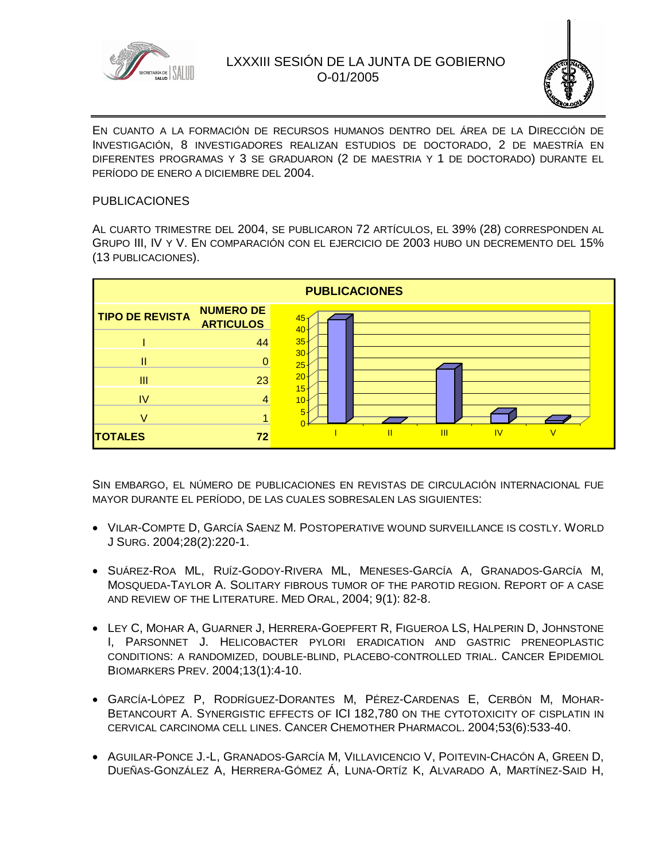



EN CUANTO A LA FORMACIÓN DE RECURSOS HUMANOS DENTRO DEL ÁREA DE LA DIRECCIÓN DE INVESTIGACIÓN, 8 INVESTIGADORES REALIZAN ESTUDIOS DE DOCTORADO, 2 DE MAESTRÍA EN DIFERENTES PROGRAMAS Y 3 SE GRADUARON (2 DE MAESTRIA Y 1 DE DOCTORADO) DURANTE EL PERÍODO DE ENERO A DICIEMBRE DEL 2004.

### PUBLICACIONES

AL CUARTO TRIMESTRE DEL 2004, SE PUBLICARON 72 ARTÍCULOS, EL 39% (28) CORRESPONDEN AL GRUPO III, IV Y V. EN COMPARACIÓN CON EL EJERCICIO DE 2003 HUBO UN DECREMENTO DEL 15% (13 PUBLICACIONES).



SIN EMBARGO, EL NÚMERO DE PUBLICACIONES EN REVISTAS DE CIRCULACIÓN INTERNACIONAL FUE MAYOR DURANTE EL PERÍODO, DE LAS CUALES SOBRESALEN LAS SIGUIENTES:

- VILAR-COMPTE D, GARCÍA SAENZ M. POSTOPERATIVE WOUND SURVEILLANCE IS COSTLY. WORLD J SURG. 2004;28(2):220-1.
- SUÁREZ-ROA ML, RUÍZ-GODOY-RIVERA ML, MENESES-GARCÍA A, GRANADOS-GARCÍA M, MOSQUEDA-TAYLOR A. SOLITARY FIBROUS TUMOR OF THE PAROTID REGION. REPORT OF A CASE AND REVIEW OF THE LITERATURE. MED ORAL, 2004; 9(1): 82-8.
- LEY C, MOHAR A, GUARNER J, HERRERA-GOEPFERT R, FIGUEROA LS, HALPERIN D, JOHNSTONE I, PARSONNET J. HELICOBACTER PYLORI ERADICATION AND GASTRIC PRENEOPLASTIC CONDITIONS: A RANDOMIZED, DOUBLE-BLIND, PLACEBO-CONTROLLED TRIAL. CANCER EPIDEMIOL BIOMARKERS PREV. 2004;13(1):4-10.
- GARCÍA-LÓPEZ P, RODRÍGUEZ-DORANTES M, PÉREZ-CARDENAS E, CERBÓN M, MOHAR-BETANCOURT A. SYNERGISTIC EFFECTS OF ICI 182,780 ON THE CYTOTOXICITY OF CISPLATIN IN CERVICAL CARCINOMA CELL LINES. CANCER CHEMOTHER PHARMACOL. 2004;53(6):533-40.
- **AGUILAR-PONCE J.-L, GRANADOS-GARCÍA M, VILLAVICENCIO V, POITEVIN-CHACÓN A, GREEN D,** DUEÑAS-GONZÁLEZ A, HERRERA-GÓMEZ Á, LUNA-ORTÍZ K, ALVARADO A, MARTÍNEZ-SAID H,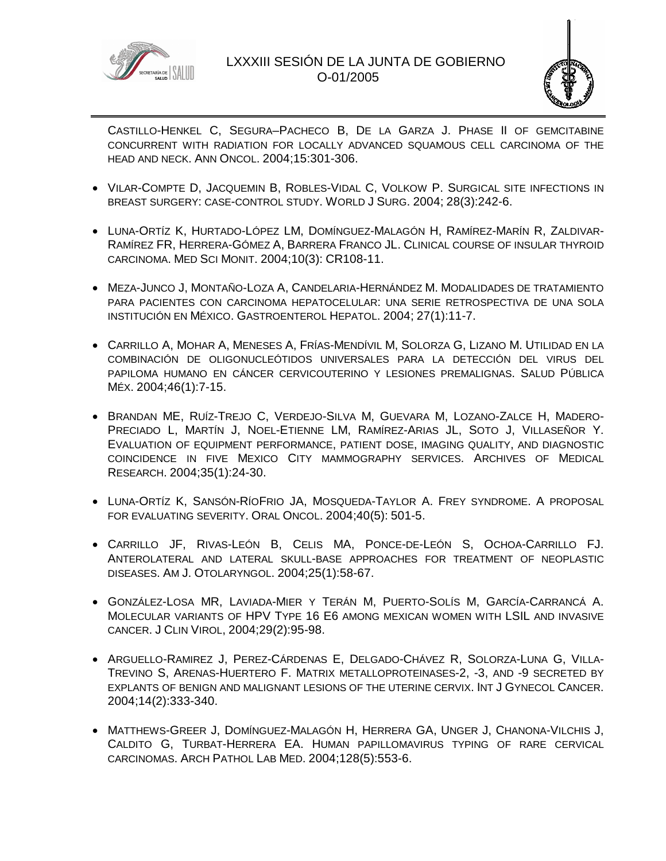



CASTILLO-HENKEL C, SEGURA–PACHECO B, DE LA GARZA J. PHASE II OF GEMCITABINE CONCURRENT WITH RADIATION FOR LOCALLY ADVANCED SQUAMOUS CELL CARCINOMA OF THE HEAD AND NECK. ANN ONCOL. 2004;15:301-306.

- VILAR-COMPTE D, JACQUEMIN B, ROBLES-VIDAL C, VOLKOW P. SURGICAL SITE INFECTIONS IN BREAST SURGERY: CASE-CONTROL STUDY. WORLD J SURG. 2004; 28(3):242-6.
- LUNA-ORTÍZ K, HURTADO-LÓPEZ LM, DOMÍNGUEZ-MALAGÓN H, RAMÍREZ-MARÍN R, ZALDIVAR-RAMÍREZ FR, HERRERA-GÓMEZ A, BARRERA FRANCO JL. CLINICAL COURSE OF INSULAR THYROID CARCINOMA. MED SCI MONIT. 2004;10(3): CR108-11.
- MEZA-JUNCO J, MONTAÑO-LOZA A, CANDELARIA-HERNÁNDEZ M. MODALIDADES DE TRATAMIENTO PARA PACIENTES CON CARCINOMA HEPATOCELULAR: UNA SERIE RETROSPECTIVA DE UNA SOLA INSTITUCIÓN EN MÉXICO. GASTROENTEROL HEPATOL. 2004; 27(1):11-7.
- CARRILLO A, MOHAR A, MENESES A, FRÍAS-MENDÍVIL M, SOLORZA G, LIZANO M. UTILIDAD EN LA COMBINACIÓN DE OLIGONUCLEÓTIDOS UNIVERSALES PARA LA DETECCIÓN DEL VIRUS DEL PAPILOMA HUMANO EN CÁNCER CERVICOUTERINO Y LESIONES PREMALIGNAS. SALUD PÚBLICA MÉX. 2004;46(1):7-15.
- BRANDAN ME, RUÍZ-TREJO C, VERDEJO-SILVA M, GUEVARA M, LOZANO-ZALCE H, MADERO-PRECIADO L, MARTÍN J, NOEL-ETIENNE LM, RAMÍREZ-ARIAS JL, SOTO J, VILLASEÑOR Y. EVALUATION OF EQUIPMENT PERFORMANCE, PATIENT DOSE, IMAGING QUALITY, AND DIAGNOSTIC COINCIDENCE IN FIVE MEXICO CITY MAMMOGRAPHY SERVICES. ARCHIVES OF MEDICAL RESEARCH. 2004;35(1):24-30.
- LUNA-ORTÍZ K, SANSÓN-RÍOFRIO JA, MOSQUEDA-TAYLOR A. FREY SYNDROME. A PROPOSAL FOR EVALUATING SEVERITY. ORAL ONCOL. 2004;40(5): 501-5.
- CARRILLO JF, RIVAS-LEÓN B, CELIS MA, PONCE-DE-LEÓN S, OCHOA-CARRILLO FJ. ANTEROLATERAL AND LATERAL SKULL-BASE APPROACHES FOR TREATMENT OF NEOPLASTIC DISEASES. AM J. OTOLARYNGOL. 2004;25(1):58-67.
- GONZÁLEZ-LOSA MR, LAVIADA-MIER Y TERÁN M, PUERTO-SOLÍS M, GARCÍA-CARRANCÁ A. MOLECULAR VARIANTS OF HPV TYPE 16 E6 AMONG MEXICAN WOMEN WITH LSIL AND INVASIVE CANCER. J CLIN VIROL, 2004;29(2):95-98.
- ARGUELLO-RAMIREZ J, PEREZ-CÁRDENAS E, DELGADO-CHÁVEZ R, SOLORZA-LUNA G, VILLA-TREVINO S, ARENAS-HUERTERO F. MATRIX METALLOPROTEINASES-2, -3, AND -9 SECRETED BY EXPLANTS OF BENIGN AND MALIGNANT LESIONS OF THE UTERINE CERVIX. INT J GYNECOL CANCER. 2004;14(2):333-340.
- MATTHEWS-GREER J, DOMÍNGUEZ-MALAGÓN H, HERRERA GA, UNGER J, CHANONA-VILCHIS J, CALDITO G, TURBAT-HERRERA EA. HUMAN PAPILLOMAVIRUS TYPING OF RARE CERVICAL CARCINOMAS. ARCH PATHOL LAB MED. 2004;128(5):553-6.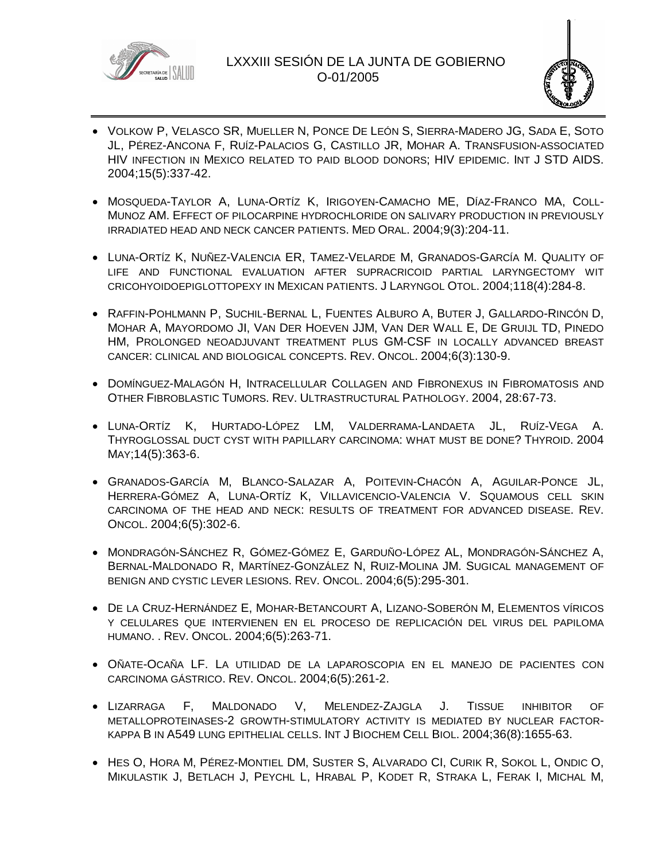



- VOLKOW P, VELASCO SR, MUELLER N, PONCE DE LEÓN S, SIERRA-MADERO JG, SADA E, SOTO JL, PÉREZ-ANCONA F, RUÍZ-PALACIOS G, CASTILLO JR, MOHAR A. TRANSFUSION-ASSOCIATED HIV INFECTION IN MEXICO RELATED TO PAID BLOOD DONORS; HIV EPIDEMIC. INT J STD AIDS. 2004;15(5):337-42.
- MOSQUEDA-TAYLOR A, LUNA-ORTÍZ K, IRIGOYEN-CAMACHO ME, DÍAZ-FRANCO MA, COLL-MUNOZ AM. EFFECT OF PILOCARPINE HYDROCHLORIDE ON SALIVARY PRODUCTION IN PREVIOUSLY IRRADIATED HEAD AND NECK CANCER PATIENTS. MED ORAL. 2004;9(3):204-11.
- LUNA-ORTÍZ K, NUÑEZ-VALENCIA ER, TAMEZ-VELARDE M, GRANADOS-GARCÍA M. QUALITY OF LIFE AND FUNCTIONAL EVALUATION AFTER SUPRACRICOID PARTIAL LARYNGECTOMY WIT CRICOHYOIDOEPIGLOTTOPEXY IN MEXICAN PATIENTS. J LARYNGOL OTOL. 2004;118(4):284-8.
- RAFFIN-POHLMANN P, SUCHIL-BERNAL L, FUENTES ALBURO A, BUTER J, GALLARDO-RINCÓN D, MOHAR A, MAYORDOMO JI, VAN DER HOEVEN JJM, VAN DER WALL E, DE GRUIJL TD, PINEDO HM, PROLONGED NEOADJUVANT TREATMENT PLUS GM-CSF IN LOCALLY ADVANCED BREAST CANCER: CLINICAL AND BIOLOGICAL CONCEPTS. REV. ONCOL. 2004;6(3):130-9.
- DOMÍNGUEZ-MALAGÓN H, INTRACELLULAR COLLAGEN AND FIBRONEXUS IN FIBROMATOSIS AND OTHER FIBROBLASTIC TUMORS. REV. ULTRASTRUCTURAL PATHOLOGY. 2004, 28:67-73.
- LUNA-ORTÍZ K, HURTADO-LÓPEZ LM, VALDERRAMA-LANDAETA JL, RUÍZ-VEGA A. THYROGLOSSAL DUCT CYST WITH PAPILLARY CARCINOMA: WHAT MUST BE DONE? THYROID. 2004 MAY;14(5):363-6.
- GRANADOS-GARCÍA M, BLANCO-SALAZAR A, POITEVIN-CHACÓN A, AGUILAR-PONCE JL, HERRERA-GÓMEZ A, LUNA-ORTÍZ K, VILLAVICENCIO-VALENCIA V. SQUAMOUS CELL SKIN CARCINOMA OF THE HEAD AND NECK: RESULTS OF TREATMENT FOR ADVANCED DISEASE. REV. ONCOL. 2004;6(5):302-6.
- MONDRAGÓN-SÁNCHEZ R, GÓMEZ-GÓMEZ E, GARDUÑO-LÓPEZ AL, MONDRAGÓN-SÁNCHEZ A, BERNAL-MALDONADO R, MARTÍNEZ-GONZÁLEZ N, RUIZ-MOLINA JM. SUGICAL MANAGEMENT OF BENIGN AND CYSTIC LEVER LESIONS. REV. ONCOL. 2004;6(5):295-301.
- DE LA CRUZ-HERNÁNDEZ E, MOHAR-BETANCOURT A, LIZANO-SOBERÓN M, ELEMENTOS VÍRICOS Y CELULARES QUE INTERVIENEN EN EL PROCESO DE REPLICACIÓN DEL VIRUS DEL PAPILOMA HUMANO. . REV. ONCOL. 2004;6(5):263-71.
- OÑATE-OCAÑA LF. LA UTILIDAD DE LA LAPAROSCOPIA EN EL MANEJO DE PACIENTES CON CARCINOMA GÁSTRICO. REV. ONCOL. 2004;6(5):261-2.
- LIZARRAGA F, MALDONADO V, MELENDEZ-ZAJGLA J. TISSUE INHIBITOR OF METALLOPROTEINASES-2 GROWTH-STIMULATORY ACTIVITY IS MEDIATED BY NUCLEAR FACTOR-KAPPA B IN A549 LUNG EPITHELIAL CELLS. INT J BIOCHEM CELL BIOL. 2004;36(8):1655-63.
- HES O, HORA M, PÉREZ-MONTIEL DM, SUSTER S, ALVARADO CI, CURIK R, SOKOL L, ONDIC O, MIKULASTIK J, BETLACH J, PEYCHL L, HRABAL P, KODET R, STRAKA L, FERAK I, MICHAL M,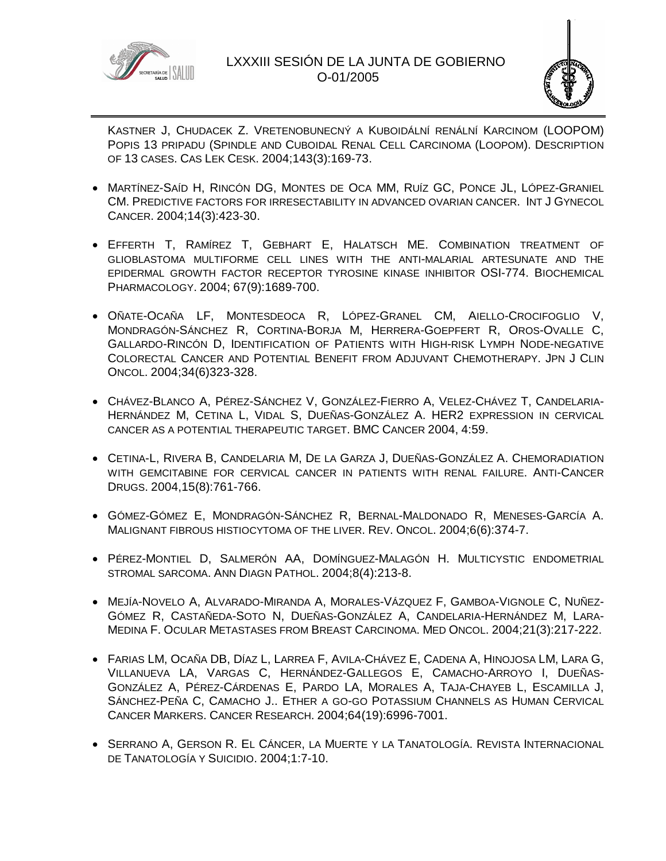



KASTNER J, CHUDACEK Z. VRETENOBUNECNÝ A KUBOIDÁLNÍ RENÁLNÍ KARCINOM (LOOPOM) POPIS 13 PRIPADU (SPINDLE AND CUBOIDAL RENAL CELL CARCINOMA (LOOPOM). DESCRIPTION OF 13 CASES. CAS LEK CESK. 2004;143(3):169-73.

- MARTÍNEZ-SAÍD H, RINCÓN DG, MONTES DE OCA MM, RUÍZ GC, PONCE JL, LÓPEZ-GRANIEL CM. PREDICTIVE FACTORS FOR IRRESECTABILITY IN ADVANCED OVARIAN CANCER. INT J GYNECOL CANCER. 2004;14(3):423-30.
- EFFERTH T, RAMÍREZ T, GEBHART E, HALATSCH ME. COMBINATION TREATMENT OF GLIOBLASTOMA MULTIFORME CELL LINES WITH THE ANTI-MALARIAL ARTESUNATE AND THE EPIDERMAL GROWTH FACTOR RECEPTOR TYROSINE KINASE INHIBITOR OSI-774. BIOCHEMICAL PHARMACOLOGY. 2004; 67(9):1689-700.
- OÑATE-OCAÑA LF, MONTESDEOCA R, LÓPEZ-GRANEL CM, AIELLO-CROCIFOGLIO V, MONDRAGÓN-SÁNCHEZ R, CORTINA-BORJA M, HERRERA-GOEPFERT R, OROS-OVALLE C, GALLARDO-RINCÓN D, IDENTIFICATION OF PATIENTS WITH HIGH-RISK LYMPH NODE-NEGATIVE COLORECTAL CANCER AND POTENTIAL BENEFIT FROM ADJUVANT CHEMOTHERAPY. JPN J CLIN ONCOL. 2004;34(6)323-328.
- CHÁVEZ-BLANCO A, PÉREZ-SÁNCHEZ V, GONZÁLEZ-FIERRO A, VELEZ-CHÁVEZ T, CANDELARIA-HERNÁNDEZ M, CETINA L, VIDAL S, DUEÑAS-GONZÁLEZ A. HER2 EXPRESSION IN CERVICAL CANCER AS A POTENTIAL THERAPEUTIC TARGET. BMC CANCER 2004, 4:59.
- CETINA-L, RIVERA B, CANDELARIA M, DE LA GARZA J, DUEÑAS-GONZÁLEZ A. CHEMORADIATION WITH GEMCITABINE FOR CERVICAL CANCER IN PATIENTS WITH RENAL FAILURE. ANTI-CANCER DRUGS. 2004,15(8):761-766.
- GÓMEZ-GÓMEZ E, MONDRAGÓN-SÁNCHEZ R, BERNAL-MALDONADO R, MENESES-GARCÍA A. MALIGNANT FIBROUS HISTIOCYTOMA OF THE LIVER. REV. ONCOL. 2004;6(6):374-7.
- PÉREZ-MONTIEL D, SALMERÓN AA, DOMÍNGUEZ-MALAGÓN H. MULTICYSTIC ENDOMETRIAL STROMAL SARCOMA. ANN DIAGN PATHOL. 2004;8(4):213-8.
- MEJÍA-NOVELO A, ALVARADO-MIRANDA A, MORALES-VÁZQUEZ F, GAMBOA-VIGNOLE C, NUÑEZ-GÓMEZ R, CASTAÑEDA-SOTO N, DUEÑAS-GONZÁLEZ A, CANDELARIA-HERNÁNDEZ M, LARA-MEDINA F. OCULAR METASTASES FROM BREAST CARCINOMA. MED ONCOL. 2004;21(3):217-222.
- FARIAS LM, OCAÑA DB, DÍAZ L, LARREA F, AVILA-CHÁVEZ E, CADENA A, HINOJOSA LM, LARA G, VILLANUEVA LA, VARGAS C, HERNÁNDEZ-GALLEGOS E, CAMACHO-ARROYO I, DUEÑAS-GONZÁLEZ A, PÉREZ-CÁRDENAS E, PARDO LA, MORALES A, TAJA-CHAYEB L, ESCAMILLA J, SÁNCHEZ-PEÑA C, CAMACHO J.. ETHER A GO-GO POTASSIUM CHANNELS AS HUMAN CERVICAL CANCER MARKERS. CANCER RESEARCH. 2004;64(19):6996-7001.
- **SERRANO A, GERSON R. EL CÁNCER, LA MUERTE Y LA TANATOLOGÍA. REVISTA INTERNACIONAL** DE TANATOLOGÍA Y SUICIDIO. 2004;1:7-10.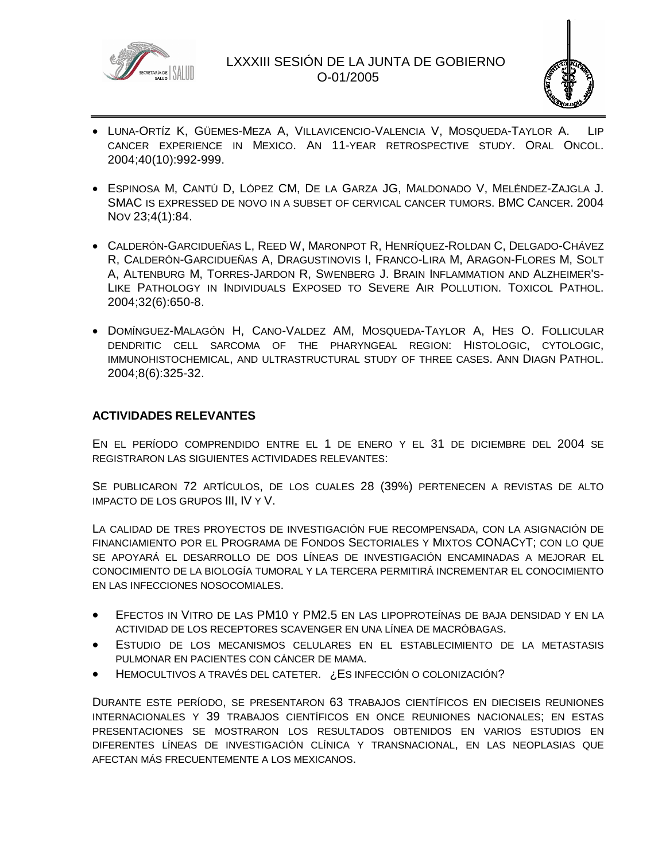



- LUNA-ORTÍZ K, GÜEMES-MEZA A, VILLAVICENCIO-VALENCIA V, MOSQUEDA-TAYLOR A. LIP CANCER EXPERIENCE IN MEXICO. AN 11-YEAR RETROSPECTIVE STUDY. ORAL ONCOL. 2004;40(10):992-999.
- ESPINOSA M, CANTÚ D, LÓPEZ CM, DE LA GARZA JG, MALDONADO V, MELÉNDEZ-ZAJGLA J. SMAC IS EXPRESSED DE NOVO IN A SUBSET OF CERVICAL CANCER TUMORS. BMC CANCER. 2004 NOV 23;4(1):84.
- CALDERÓN-GARCIDUEÑAS L, REED W, MARONPOT R, HENRÍQUEZ-ROLDAN C, DELGADO-CHÁVEZ R, CALDERÓN-GARCIDUEÑAS A, DRAGUSTINOVIS I, FRANCO-LIRA M, ARAGON-FLORES M, SOLT A, ALTENBURG M, TORRES-JARDON R, SWENBERG J. BRAIN INFLAMMATION AND ALZHEIMER'S-LIKE PATHOLOGY IN INDIVIDUALS EXPOSED TO SEVERE AIR POLLUTION. TOXICOL PATHOL. 2004;32(6):650-8.
- DOMÍNGUEZ-MALAGÓN H, CANO-VALDEZ AM, MOSQUEDA-TAYLOR A, HES O. FOLLICULAR DENDRITIC CELL SARCOMA OF THE PHARYNGEAL REGION: HISTOLOGIC, CYTOLOGIC, IMMUNOHISTOCHEMICAL, AND ULTRASTRUCTURAL STUDY OF THREE CASES. ANN DIAGN PATHOL. 2004;8(6):325-32.

# **ACTIVIDADES RELEVANTES**

EN EL PERÍODO COMPRENDIDO ENTRE EL 1 DE ENERO Y EL 31 DE DICIEMBRE DEL 2004 SE REGISTRARON LAS SIGUIENTES ACTIVIDADES RELEVANTES:

SE PUBLICARON 72 ARTÍCULOS, DE LOS CUALES 28 (39%) PERTENECEN A REVISTAS DE ALTO IMPACTO DE LOS GRUPOS III, IV Y V.

LA CALIDAD DE TRES PROYECTOS DE INVESTIGACIÓN FUE RECOMPENSADA, CON LA ASIGNACIÓN DE FINANCIAMIENTO POR EL PROGRAMA DE FONDOS SECTORIALES Y MIXTOS CONACYT; CON LO QUE SE APOYARÁ EL DESARROLLO DE DOS LÍNEAS DE INVESTIGACIÓN ENCAMINADAS A MEJORAR EL CONOCIMIENTO DE LA BIOLOGÍA TUMORAL Y LA TERCERA PERMITIRÁ INCREMENTAR EL CONOCIMIENTO EN LAS INFECCIONES NOSOCOMIALES.

- EFECTOS IN VITRO DE LAS PM10 Y PM2.5 EN LAS LIPOPROTEÍNAS DE BAJA DENSIDAD Y EN LA ACTIVIDAD DE LOS RECEPTORES SCAVENGER EN UNA LÍNEA DE MACRÓBAGAS.
- ESTUDIO DE LOS MECANISMOS CELULARES EN EL ESTABLECIMIENTO DE LA METASTASIS PULMONAR EN PACIENTES CON CÁNCER DE MAMA.
- HEMOCULTIVOS A TRAVÉS DEL CATETER. ¿ES INFECCIÓN O COLONIZACIÓN?

DURANTE ESTE PERÍODO, SE PRESENTARON 63 TRABAJOS CIENTÍFICOS EN DIECISEIS REUNIONES INTERNACIONALES Y 39 TRABAJOS CIENTÍFICOS EN ONCE REUNIONES NACIONALES; EN ESTAS PRESENTACIONES SE MOSTRARON LOS RESULTADOS OBTENIDOS EN VARIOS ESTUDIOS EN DIFERENTES LÍNEAS DE INVESTIGACIÓN CLÍNICA Y TRANSNACIONAL, EN LAS NEOPLASIAS QUE AFECTAN MÁS FRECUENTEMENTE A LOS MEXICANOS.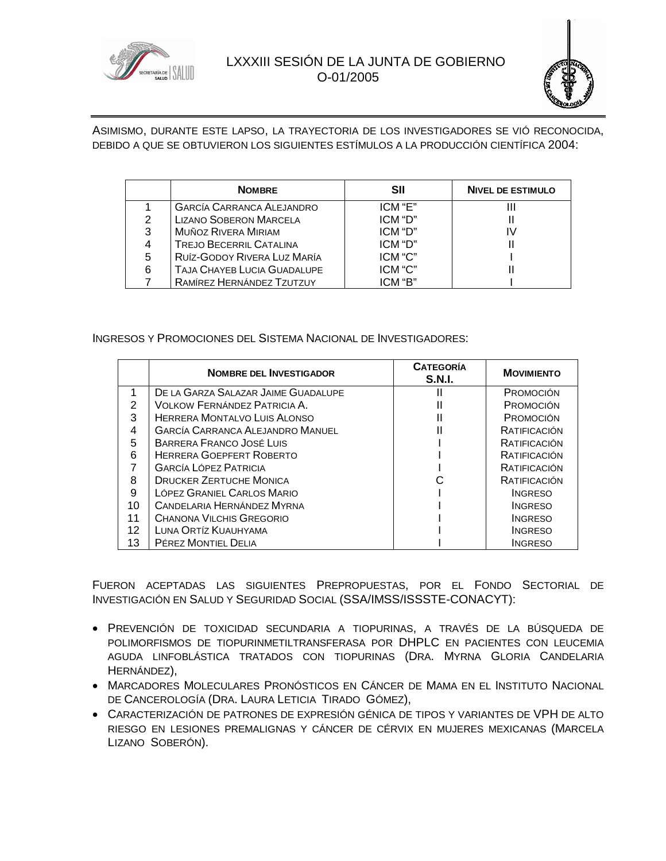



ASIMISMO, DURANTE ESTE LAPSO, LA TRAYECTORIA DE LOS INVESTIGADORES SE VIÓ RECONOCIDA, DEBIDO A QUE SE OBTUVIERON LOS SIGUIENTES ESTÍMULOS A LA PRODUCCIÓN CIENTÍFICA 2004:

|   | <b>NOMBRE</b>                    | SII     | <b>NIVEL DE ESTIMULO</b> |
|---|----------------------------------|---------|--------------------------|
|   | <b>GARCÍA CARRANCA ALEJANDRO</b> | ICM "E" | Ш                        |
| 2 | <b>LIZANO SOBERON MARCELA</b>    | ICM "D" |                          |
| 3 | MUÑOZ RIVERA MIRIAM              | ICM "D" |                          |
|   | <b>TREJO BECERRIL CATALINA</b>   | ICM "D" |                          |
| 5 | RUÍZ-GODOY RIVERA LUZ MARÍA      | ICM "C" |                          |
| 6 | TAJA CHAYEB LUCIA GUADALUPE      | ICM "C" |                          |
|   | RAMÍREZ HERNÁNDEZ TZUTZUY        | ICM "B" |                          |

#### INGRESOS Y PROMOCIONES DEL SISTEMA NACIONAL DE INVESTIGADORES:

|    | <b>NOMBRE DEL INVESTIGADOR</b>          | <b>CATEGORÍA</b><br><b>S.N.I.</b> | <b>MOVIMIENTO</b> |
|----|-----------------------------------------|-----------------------------------|-------------------|
| 1  | DE LA GARZA SALAZAR JAIME GUADALUPE     |                                   | PROMOCIÓN         |
| 2  | VOLKOW FERNÁNDEZ PATRICIA A.            |                                   | PROMOCIÓN         |
| 3  | HERRERA MONTALVO LUIS ALONSO            |                                   | PROMOCIÓN         |
| 4  | <b>GARCÍA CARRANCA ALEJANDRO MANUEL</b> |                                   | RATIFICACIÓN      |
| 5  | BARRERA FRANCO JOSÉ LUIS                |                                   | RATIFICACIÓN      |
| 6  | <b>HERRERA GOEPFERT ROBERTO</b>         |                                   | RATIFICACIÓN      |
|    | <b>GARCÍA LÓPEZ PATRICIA</b>            |                                   | RATIFICACIÓN      |
| 8  | <b>DRUCKER ZERTUCHE MONICA</b>          |                                   | RATIFICACIÓN      |
| 9  | LÓPEZ GRANIEL CARLOS MARIO              |                                   | <b>INGRESO</b>    |
| 10 | CANDELARIA HERNÁNDEZ MYRNA              |                                   | <b>INGRESO</b>    |
| 11 | CHANONA VILCHIS GREGORIO                |                                   | <b>INGRESO</b>    |
| 12 | LUNA ORTÍZ KUAUHYAMA                    |                                   | <b>INGRESO</b>    |
| 13 | PÉREZ MONTIEL DELIA                     |                                   | <b>INGRESO</b>    |

FUERON ACEPTADAS LAS SIGUIENTES PREPROPUESTAS, POR EL FONDO SECTORIAL DE INVESTIGACIÓN EN SALUD Y SEGURIDAD SOCIAL (SSA/IMSS/ISSSTE-CONACYT):

- PREVENCIÓN DE TOXICIDAD SECUNDARIA A TIOPURINAS, A TRAVÉS DE LA BÚSQUEDA DE POLIMORFISMOS DE TIOPURINMETILTRANSFERASA POR DHPLC EN PACIENTES CON LEUCEMIA AGUDA LINFOBLÁSTICA TRATADOS CON TIOPURINAS (DRA. MYRNA GLORIA CANDELARIA HERNÁNDEZ),
- MARCADORES MOLECULARES PRONÓSTICOS EN CÁNCER DE MAMA EN EL INSTITUTO NACIONAL DE CANCEROLOGÍA (DRA. LAURA LETICIA TIRADO GÓMEZ),
- CARACTERIZACIÓN DE PATRONES DE EXPRESIÓN GÉNICA DE TIPOS Y VARIANTES DE VPH DE ALTO RIESGO EN LESIONES PREMALIGNAS Y CÁNCER DE CÉRVIX EN MUJERES MEXICANAS (MARCELA LIZANO SOBERÓN).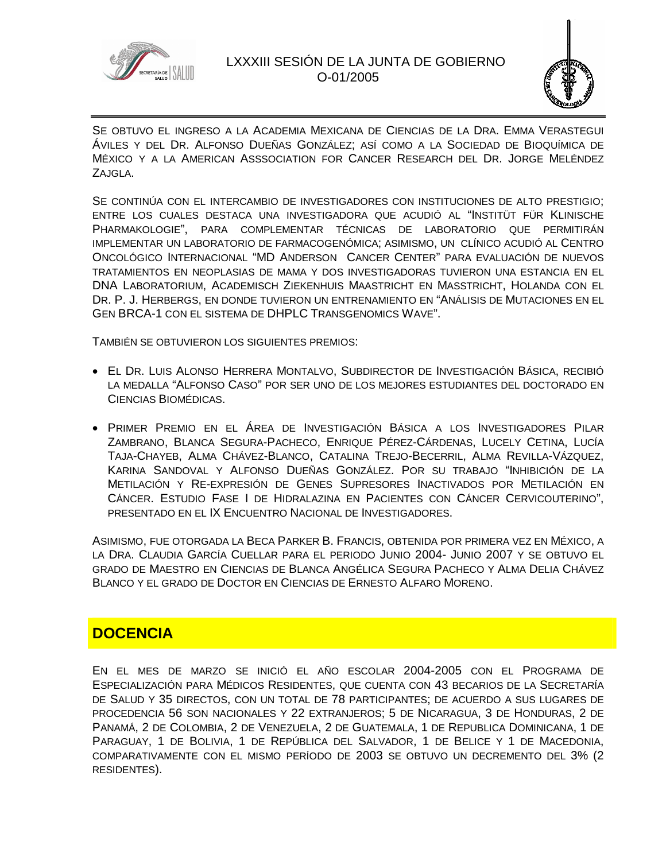



SE OBTUVO EL INGRESO A LA ACADEMIA MEXICANA DE CIENCIAS DE LA DRA. EMMA VERASTEGUI ÁVILES Y DEL DR. ALFONSO DUEÑAS GONZÁLEZ; ASÍ COMO A LA SOCIEDAD DE BIOQUÍMICA DE MÉXICO Y A LA AMERICAN ASSSOCIATION FOR CANCER RESEARCH DEL DR. JORGE MELÉNDEZ ZAJGLA.

SE CONTINÚA CON EL INTERCAMBIO DE INVESTIGADORES CON INSTITUCIONES DE ALTO PRESTIGIO; ENTRE LOS CUALES DESTACA UNA INVESTIGADORA QUE ACUDIÓ AL "INSTITÜT FÜR KLINISCHE PHARMAKOLOGIE", PARA COMPLEMENTAR TÉCNICAS DE LABORATORIO QUE PERMITIRÁN IMPLEMENTAR UN LABORATORIO DE FARMACOGENÓMICA; ASIMISMO, UN CLÍNICO ACUDIÓ AL CENTRO ONCOLÓGICO INTERNACIONAL "MD ANDERSON CANCER CENTER" PARA EVALUACIÓN DE NUEVOS TRATAMIENTOS EN NEOPLASIAS DE MAMA Y DOS INVESTIGADORAS TUVIERON UNA ESTANCIA EN EL DNA LABORATORIUM, ACADEMISCH ZIEKENHUIS MAASTRICHT EN MASSTRICHT, HOLANDA CON EL DR. P. J. HERBERGS, EN DONDE TUVIERON UN ENTRENAMIENTO EN "ANÁLISIS DE MUTACIONES EN EL GEN BRCA-1 CON EL SISTEMA DE DHPLC TRANSGENOMICS WAVE".

TAMBIÉN SE OBTUVIERON LOS SIGUIENTES PREMIOS:

- EL DR. LUIS ALONSO HERRERA MONTALVO, SUBDIRECTOR DE INVESTIGACIÓN BÁSICA, RECIBIÓ LA MEDALLA "ALFONSO CASO" POR SER UNO DE LOS MEJORES ESTUDIANTES DEL DOCTORADO EN CIENCIAS BIOMÉDICAS.
- PRIMER PREMIO EN EL ÁREA DE INVESTIGACIÓN BÁSICA A LOS INVESTIGADORES PILAR ZAMBRANO, BLANCA SEGURA-PACHECO, ENRIQUE PÉREZ-CÁRDENAS, LUCELY CETINA, LUCÍA TAJA-CHAYEB, ALMA CHÁVEZ-BLANCO, CATALINA TREJO-BECERRIL, ALMA REVILLA-VÁZQUEZ, KARINA SANDOVAL Y ALFONSO DUEÑAS GONZÁLEZ. POR SU TRABAJO "INHIBICIÓN DE LA METILACIÓN Y RE-EXPRESIÓN DE GENES SUPRESORES INACTIVADOS POR METILACIÓN EN CÁNCER. ESTUDIO FASE I DE HIDRALAZINA EN PACIENTES CON CÁNCER CERVICOUTERINO", PRESENTADO EN EL IX ENCUENTRO NACIONAL DE INVESTIGADORES.

ASIMISMO, FUE OTORGADA LA BECA PARKER B. FRANCIS, OBTENIDA POR PRIMERA VEZ EN MÉXICO, A LA DRA. CLAUDIA GARCÍA CUELLAR PARA EL PERIODO JUNIO 2004- JUNIO 2007 Y SE OBTUVO EL GRADO DE MAESTRO EN CIENCIAS DE BLANCA ANGÉLICA SEGURA PACHECO Y ALMA DELIA CHÁVEZ BLANCO Y EL GRADO DE DOCTOR EN CIENCIAS DE ERNESTO ALFARO MORENO.

# **DOCENCIA**

EN EL MES DE MARZO SE INICIÓ EL AÑO ESCOLAR 2004-2005 CON EL PROGRAMA DE ESPECIALIZACIÓN PARA MÉDICOS RESIDENTES, QUE CUENTA CON 43 BECARIOS DE LA SECRETARÍA DE SALUD Y 35 DIRECTOS, CON UN TOTAL DE 78 PARTICIPANTES; DE ACUERDO A SUS LUGARES DE PROCEDENCIA 56 SON NACIONALES Y 22 EXTRANJEROS; 5 DE NICARAGUA, 3 DE HONDURAS, 2 DE PANAMÁ, 2 DE COLOMBIA, 2 DE VENEZUELA, 2 DE GUATEMALA, 1 DE REPUBLICA DOMINICANA, 1 DE PARAGUAY, 1 DE BOLIVIA, 1 DE REPÚBLICA DEL SALVADOR, 1 DE BELICE Y 1 DE MACEDONIA, COMPARATIVAMENTE CON EL MISMO PERÍODO DE 2003 SE OBTUVO UN DECREMENTO DEL 3% (2 RESIDENTES).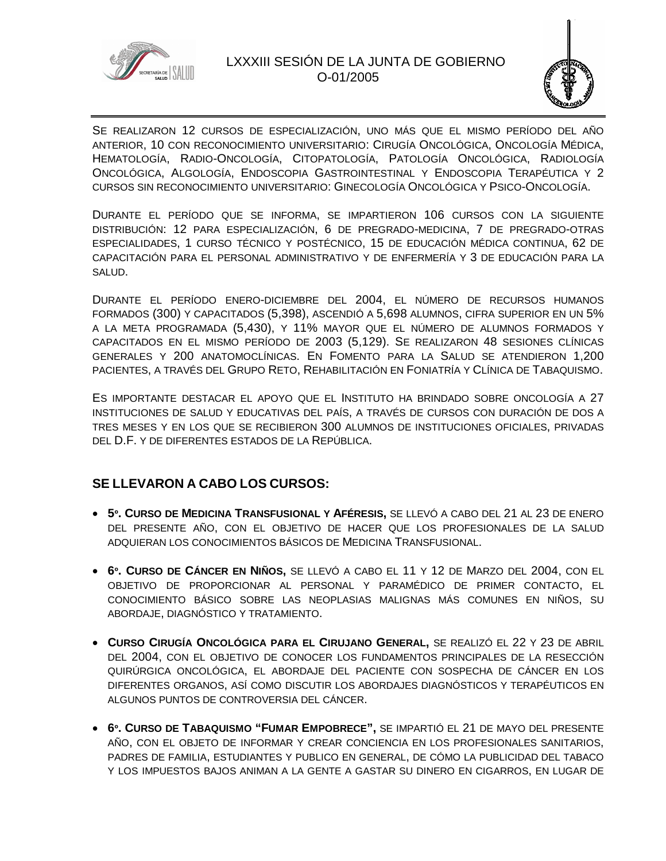



SE REALIZARON 12 CURSOS DE ESPECIALIZACIÓN, UNO MÁS QUE EL MISMO PERÍODO DEL AÑO ANTERIOR, 10 CON RECONOCIMIENTO UNIVERSITARIO: CIRUGÍA ONCOLÓGICA, ONCOLOGÍA MÉDICA, HEMATOLOGÍA, RADIO-ONCOLOGÍA, CITOPATOLOGÍA, PATOLOGÍA ONCOLÓGICA, RADIOLOGÍA ONCOLÓGICA, ALGOLOGÍA, ENDOSCOPIA GASTROINTESTINAL Y ENDOSCOPIA TERAPÉUTICA Y 2 CURSOS SIN RECONOCIMIENTO UNIVERSITARIO: GINECOLOGÍA ONCOLÓGICA Y PSICO-ONCOLOGÍA.

DURANTE EL PERÍODO QUE SE INFORMA, SE IMPARTIERON 106 CURSOS CON LA SIGUIENTE DISTRIBUCIÓN: 12 PARA ESPECIALIZACIÓN, 6 DE PREGRADO-MEDICINA, 7 DE PREGRADO-OTRAS ESPECIALIDADES, 1 CURSO TÉCNICO Y POSTÉCNICO, 15 DE EDUCACIÓN MÉDICA CONTINUA, 62 DE CAPACITACIÓN PARA EL PERSONAL ADMINISTRATIVO Y DE ENFERMERÍA Y 3 DE EDUCACIÓN PARA LA SALUD.

DURANTE EL PERÍODO ENERO-DICIEMBRE DEL 2004, EL NÚMERO DE RECURSOS HUMANOS FORMADOS (300) Y CAPACITADOS (5,398), ASCENDIÓ A 5,698 ALUMNOS, CIFRA SUPERIOR EN UN 5% A LA META PROGRAMADA (5,430), Y 11% MAYOR QUE EL NÚMERO DE ALUMNOS FORMADOS Y CAPACITADOS EN EL MISMO PERÍODO DE 2003 (5,129). SE REALIZARON 48 SESIONES CLÍNICAS GENERALES Y 200 ANATOMOCLÍNICAS. EN FOMENTO PARA LA SALUD SE ATENDIERON 1,200 PACIENTES, A TRAVÉS DEL GRUPO RETO, REHABILITACIÓN EN FONIATRÍA Y CLÍNICA DE TABAQUISMO.

ES IMPORTANTE DESTACAR EL APOYO QUE EL INSTITUTO HA BRINDADO SOBRE ONCOLOGÍA A 27 INSTITUCIONES DE SALUD Y EDUCATIVAS DEL PAÍS, A TRAVÉS DE CURSOS CON DURACIÓN DE DOS A TRES MESES Y EN LOS QUE SE RECIBIERON 300 ALUMNOS DE INSTITUCIONES OFICIALES, PRIVADAS DEL D.F. Y DE DIFERENTES ESTADOS DE LA REPÚBLICA.

# **SE LLEVARON A CABO LOS CURSOS:**

- **5º. CURSO DE MEDICINA TRANSFUSIONAL Y AFÉRESIS,** SE LLEVÓ A CABO DEL 21 AL 23 DE ENERO DEL PRESENTE AÑO, CON EL OBJETIVO DE HACER QUE LOS PROFESIONALES DE LA SALUD ADQUIERAN LOS CONOCIMIENTOS BÁSICOS DE MEDICINA TRANSFUSIONAL.
- **6º. CURSO DE CÁNCER EN NIÑOS,** SE LLEVÓ A CABO EL 11 Y 12 DE MARZO DEL 2004, CON EL OBJETIVO DE PROPORCIONAR AL PERSONAL Y PARAMÉDICO DE PRIMER CONTACTO, EL CONOCIMIENTO BÁSICO SOBRE LAS NEOPLASIAS MALIGNAS MÁS COMUNES EN NIÑOS, SU ABORDAJE, DIAGNÓSTICO Y TRATAMIENTO.
- **CURSO CIRUGÍA ONCOLÓGICA PARA EL CIRUJANO GENERAL,** SE REALIZÓ EL 22 Y 23 DE ABRIL DEL 2004, CON EL OBJETIVO DE CONOCER LOS FUNDAMENTOS PRINCIPALES DE LA RESECCIÓN QUIRÚRGICA ONCOLÓGICA, EL ABORDAJE DEL PACIENTE CON SOSPECHA DE CÁNCER EN LOS DIFERENTES ORGANOS, ASÍ COMO DISCUTIR LOS ABORDAJES DIAGNÓSTICOS Y TERAPÉUTICOS EN ALGUNOS PUNTOS DE CONTROVERSIA DEL CÁNCER.
- **6º. CURSO DE TABAQUISMO "FUMAR EMPOBRECE",** SE IMPARTIÓ EL 21 DE MAYO DEL PRESENTE AÑO, CON EL OBJETO DE INFORMAR Y CREAR CONCIENCIA EN LOS PROFESIONALES SANITARIOS, PADRES DE FAMILIA, ESTUDIANTES Y PUBLICO EN GENERAL, DE CÓMO LA PUBLICIDAD DEL TABACO Y LOS IMPUESTOS BAJOS ANIMAN A LA GENTE A GASTAR SU DINERO EN CIGARROS, EN LUGAR DE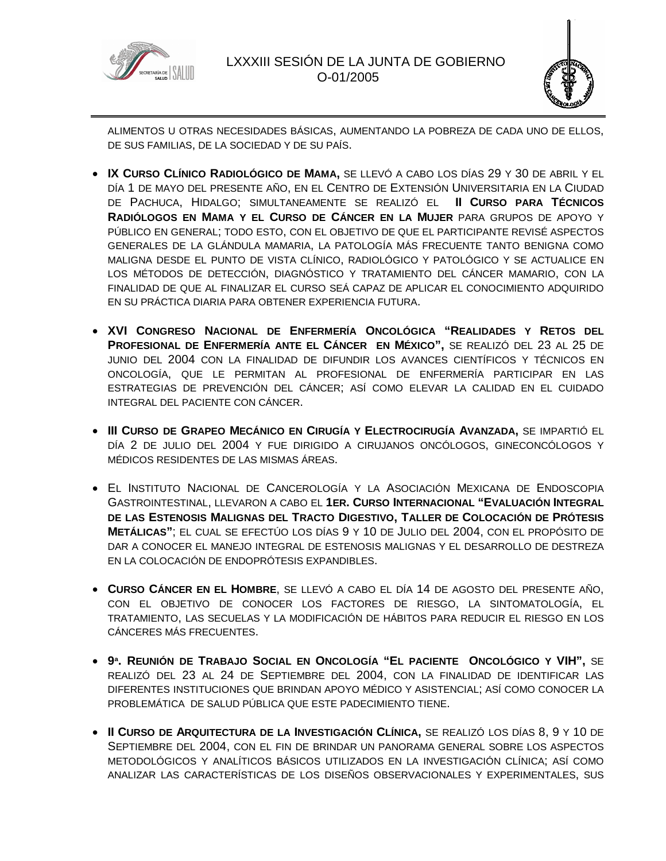



ALIMENTOS U OTRAS NECESIDADES BÁSICAS, AUMENTANDO LA POBREZA DE CADA UNO DE ELLOS, DE SUS FAMILIAS, DE LA SOCIEDAD Y DE SU PAÍS.

- **IX CURSO CLÍNICO RADIOLÓGICO DE MAMA,** SE LLEVÓ A CABO LOS DÍAS 29 Y 30 DE ABRIL Y EL DÍA 1 DE MAYO DEL PRESENTE AÑO, EN EL CENTRO DE EXTENSIÓN UNIVERSITARIA EN LA CIUDAD DE PACHUCA, HIDALGO; SIMULTANEAMENTE SE REALIZÓ EL **II CURSO PARA TÉCNICOS RADIÓLOGOS EN MAMA Y EL CURSO DE CÁNCER EN LA MUJER** PARA GRUPOS DE APOYO Y PÚBLICO EN GENERAL; TODO ESTO, CON EL OBJETIVO DE QUE EL PARTICIPANTE REVISÉ ASPECTOS GENERALES DE LA GLÁNDULA MAMARIA, LA PATOLOGÍA MÁS FRECUENTE TANTO BENIGNA COMO MALIGNA DESDE EL PUNTO DE VISTA CLÍNICO, RADIOLÓGICO Y PATOLÓGICO Y SE ACTUALICE EN LOS MÉTODOS DE DETECCIÓN, DIAGNÓSTICO Y TRATAMIENTO DEL CÁNCER MAMARIO, CON LA FINALIDAD DE QUE AL FINALIZAR EL CURSO SEÁ CAPAZ DE APLICAR EL CONOCIMIENTO ADQUIRIDO EN SU PRÁCTICA DIARIA PARA OBTENER EXPERIENCIA FUTURA.
- **XVI CONGRESO NACIONAL DE ENFERMERÍA ONCOLÓGICA "REALIDADES Y RETOS DEL PROFESIONAL DE ENFERMERÍA ANTE EL CÁNCER EN MÉXICO",** SE REALIZÓ DEL 23 AL 25 DE JUNIO DEL 2004 CON LA FINALIDAD DE DIFUNDIR LOS AVANCES CIENTÍFICOS Y TÉCNICOS EN ONCOLOGÍA, QUE LE PERMITAN AL PROFESIONAL DE ENFERMERÍA PARTICIPAR EN LAS ESTRATEGIAS DE PREVENCIÓN DEL CÁNCER; ASÍ COMO ELEVAR LA CALIDAD EN EL CUIDADO INTEGRAL DEL PACIENTE CON CÁNCER.
- **III CURSO DE GRAPEO MECÁNICO EN CIRUGÍA Y ELECTROCIRUGÍA AVANZADA,** SE IMPARTIÓ EL DÍA 2 DE JULIO DEL 2004 Y FUE DIRIGIDO A CIRUJANOS ONCÓLOGOS, GINECONCÓLOGOS Y MÉDICOS RESIDENTES DE LAS MISMAS ÁREAS.
- EL INSTITUTO NACIONAL DE CANCEROLOGÍA Y LA ASOCIACIÓN MEXICANA DE ENDOSCOPIA GASTROINTESTINAL, LLEVARON A CABO EL **1ER. CURSO INTERNACIONAL "EVALUACIÓN INTEGRAL DE LAS ESTENOSIS MALIGNAS DEL TRACTO DIGESTIVO, TALLER DE COLOCACIÓN DE PRÓTESIS METÁLICAS"**; EL CUAL SE EFECTÚO LOS DÍAS 9 Y 10 DE JULIO DEL 2004, CON EL PROPÓSITO DE DAR A CONOCER EL MANEJO INTEGRAL DE ESTENOSIS MALIGNAS Y EL DESARROLLO DE DESTREZA EN LA COLOCACIÓN DE ENDOPRÓTESIS EXPANDIBLES.
- **CURSO CÁNCER EN EL HOMBRE**, SE LLEVÓ A CABO EL DÍA 14 DE AGOSTO DEL PRESENTE AÑO, CON EL OBJETIVO DE CONOCER LOS FACTORES DE RIESGO, LA SINTOMATOLOGÍA, EL TRATAMIENTO, LAS SECUELAS Y LA MODIFICACIÓN DE HÁBITOS PARA REDUCIR EL RIESGO EN LOS CÁNCERES MÁS FRECUENTES.
- **9ª. REUNIÓN DE TRABAJO SOCIAL EN ONCOLOGÍA "EL PACIENTE ONCOLÓGICO Y VIH",** SE REALIZÓ DEL 23 AL 24 DE SEPTIEMBRE DEL 2004, CON LA FINALIDAD DE IDENTIFICAR LAS DIFERENTES INSTITUCIONES QUE BRINDAN APOYO MÉDICO Y ASISTENCIAL; ASÍ COMO CONOCER LA PROBLEMÁTICA DE SALUD PÚBLICA QUE ESTE PADECIMIENTO TIENE.
- **II CURSO DE ARQUITECTURA DE LA INVESTIGACIÓN CLÍNICA,** SE REALIZÓ LOS DÍAS 8, 9 Y 10 DE SEPTIEMBRE DEL 2004, CON EL FIN DE BRINDAR UN PANORAMA GENERAL SOBRE LOS ASPECTOS METODOLÓGICOS Y ANALÍTICOS BÁSICOS UTILIZADOS EN LA INVESTIGACIÓN CLÍNICA; ASÍ COMO ANALIZAR LAS CARACTERÍSTICAS DE LOS DISEÑOS OBSERVACIONALES Y EXPERIMENTALES, SUS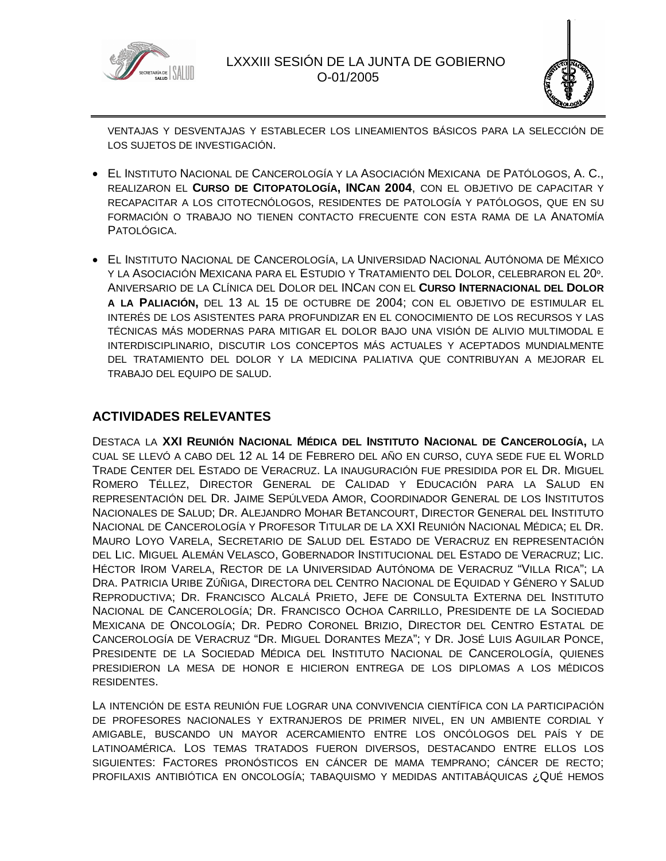



VENTAJAS Y DESVENTAJAS Y ESTABLECER LOS LINEAMIENTOS BÁSICOS PARA LA SELECCIÓN DE LOS SUJETOS DE INVESTIGACIÓN.

- EL INSTITUTO NACIONAL DE CANCEROLOGÍA Y LA ASOCIACIÓN MEXICANA DE PATÓLOGOS, A. C., REALIZARON EL **CURSO DE CITOPATOLOGÍA, INCAN 2004**, CON EL OBJETIVO DE CAPACITAR Y RECAPACITAR A LOS CITOTECNÓLOGOS, RESIDENTES DE PATOLOGÍA Y PATÓLOGOS, QUE EN SU FORMACIÓN O TRABAJO NO TIENEN CONTACTO FRECUENTE CON ESTA RAMA DE LA ANATOMÍA PATOLÓGICA.
- EL INSTITUTO NACIONAL DE CANCEROLOGÍA, LA UNIVERSIDAD NACIONAL AUTÓNOMA DE MÉXICO Y LA ASOCIACIÓN MEXICANA PARA EL ESTUDIO Y TRATAMIENTO DEL DOLOR, CELEBRARON EL 20º. ANIVERSARIO DE LA CLÍNICA DEL DOLOR DEL INCAN CON EL **CURSO INTERNACIONAL DEL DOLOR A LA PALIACIÓN,** DEL 13 AL 15 DE OCTUBRE DE 2004; CON EL OBJETIVO DE ESTIMULAR EL INTERÉS DE LOS ASISTENTES PARA PROFUNDIZAR EN EL CONOCIMIENTO DE LOS RECURSOS Y LAS TÉCNICAS MÁS MODERNAS PARA MITIGAR EL DOLOR BAJO UNA VISIÓN DE ALIVIO MULTIMODAL E INTERDISCIPLINARIO, DISCUTIR LOS CONCEPTOS MÁS ACTUALES Y ACEPTADOS MUNDIALMENTE DEL TRATAMIENTO DEL DOLOR Y LA MEDICINA PALIATIVA QUE CONTRIBUYAN A MEJORAR EL TRABAJO DEL EQUIPO DE SALUD.

# **ACTIVIDADES RELEVANTES**

DESTACA LA **XXI REUNIÓN NACIONAL MÉDICA DEL INSTITUTO NACIONAL DE CANCEROLOGÍA,** LA CUAL SE LLEVÓ A CABO DEL 12 AL 14 DE FEBRERO DEL AÑO EN CURSO, CUYA SEDE FUE EL WORLD TRADE CENTER DEL ESTADO DE VERACRUZ. LA INAUGURACIÓN FUE PRESIDIDA POR EL DR. MIGUEL ROMERO TÉLLEZ, DIRECTOR GENERAL DE CALIDAD Y EDUCACIÓN PARA LA SALUD EN REPRESENTACIÓN DEL DR. JAIME SEPÚLVEDA AMOR, COORDINADOR GENERAL DE LOS INSTITUTOS NACIONALES DE SALUD; DR. ALEJANDRO MOHAR BETANCOURT, DIRECTOR GENERAL DEL INSTITUTO NACIONAL DE CANCEROLOGÍA Y PROFESOR TITULAR DE LA XXI REUNIÓN NACIONAL MÉDICA; EL DR. MAURO LOYO VARELA, SECRETARIO DE SALUD DEL ESTADO DE VERACRUZ EN REPRESENTACIÓN DEL LIC. MIGUEL ALEMÁN VELASCO, GOBERNADOR INSTITUCIONAL DEL ESTADO DE VERACRUZ; LIC. HÉCTOR IROM VARELA, RECTOR DE LA UNIVERSIDAD AUTÓNOMA DE VERACRUZ "VILLA RICA"; LA DRA. PATRICIA URIBE ZÚÑIGA, DIRECTORA DEL CENTRO NACIONAL DE EQUIDAD Y GÉNERO Y SALUD REPRODUCTIVA; DR. FRANCISCO ALCALÁ PRIETO, JEFE DE CONSULTA EXTERNA DEL INSTITUTO NACIONAL DE CANCEROLOGÍA; DR. FRANCISCO OCHOA CARRILLO, PRESIDENTE DE LA SOCIEDAD MEXICANA DE ONCOLOGÍA; DR. PEDRO CORONEL BRIZIO, DIRECTOR DEL CENTRO ESTATAL DE CANCEROLOGÍA DE VERACRUZ "DR. MIGUEL DORANTES MEZA"; Y DR. JOSÉ LUIS AGUILAR PONCE, PRESIDENTE DE LA SOCIEDAD MÉDICA DEL INSTITUTO NACIONAL DE CANCEROLOGÍA, QUIENES PRESIDIERON LA MESA DE HONOR E HICIERON ENTREGA DE LOS DIPLOMAS A LOS MÉDICOS RESIDENTES.

LA INTENCIÓN DE ESTA REUNIÓN FUE LOGRAR UNA CONVIVENCIA CIENTÍFICA CON LA PARTICIPACIÓN DE PROFESORES NACIONALES Y EXTRANJEROS DE PRIMER NIVEL, EN UN AMBIENTE CORDIAL Y AMIGABLE, BUSCANDO UN MAYOR ACERCAMIENTO ENTRE LOS ONCÓLOGOS DEL PAÍS Y DE LATINOAMÉRICA. LOS TEMAS TRATADOS FUERON DIVERSOS, DESTACANDO ENTRE ELLOS LOS SIGUIENTES: FACTORES PRONÓSTICOS EN CÁNCER DE MAMA TEMPRANO; CÁNCER DE RECTO; PROFILAXIS ANTIBIÓTICA EN ONCOLOGÍA; TABAQUISMO Y MEDIDAS ANTITABÁQUICAS ¿QUÉ HEMOS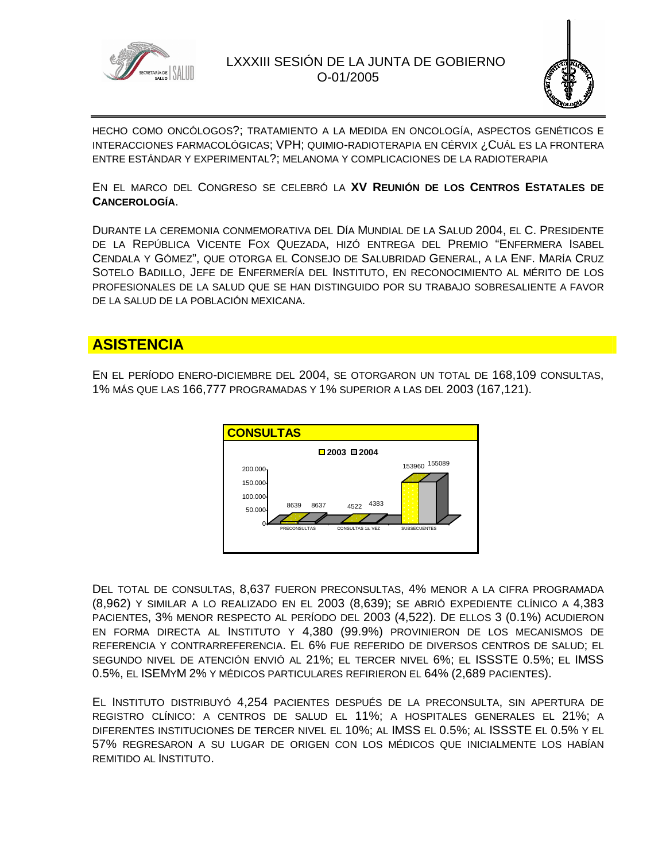



HECHO COMO ONCÓLOGOS?; TRATAMIENTO A LA MEDIDA EN ONCOLOGÍA, ASPECTOS GENÉTICOS E INTERACCIONES FARMACOLÓGICAS; VPH; QUIMIO-RADIOTERAPIA EN CÉRVIX ¿CUÁL ES LA FRONTERA ENTRE ESTÁNDAR Y EXPERIMENTAL?; MELANOMA Y COMPLICACIONES DE LA RADIOTERAPIA

EN EL MARCO DEL CONGRESO SE CELEBRÓ LA **XV REUNIÓN DE LOS CENTROS ESTATALES DE CANCEROLOGÍA**.

DURANTE LA CEREMONIA CONMEMORATIVA DEL DÍA MUNDIAL DE LA SALUD 2004, EL C. PRESIDENTE DE LA REPÚBLICA VICENTE FOX QUEZADA, HIZÓ ENTREGA DEL PREMIO "ENFERMERA ISABEL CENDALA Y GÓMEZ", QUE OTORGA EL CONSEJO DE SALUBRIDAD GENERAL, A LA ENF. MARÍA CRUZ SOTELO BADILLO, JEFE DE ENFERMERÍA DEL INSTITUTO, EN RECONOCIMIENTO AL MÉRITO DE LOS PROFESIONALES DE LA SALUD QUE SE HAN DISTINGUIDO POR SU TRABAJO SOBRESALIENTE A FAVOR DE LA SALUD DE LA POBLACIÓN MEXICANA.

# **ASISTENCIA**

EN EL PERÍODO ENERO-DICIEMBRE DEL 2004, SE OTORGARON UN TOTAL DE 168,109 CONSULTAS, 1% MÁS QUE LAS 166,777 PROGRAMADAS Y 1% SUPERIOR A LAS DEL 2003 (167,121).



DEL TOTAL DE CONSULTAS, 8,637 FUERON PRECONSULTAS, 4% MENOR A LA CIFRA PROGRAMADA (8,962) Y SIMILAR A LO REALIZADO EN EL 2003 (8,639); SE ABRIÓ EXPEDIENTE CLÍNICO A 4,383 PACIENTES, 3% MENOR RESPECTO AL PERÍODO DEL 2003 (4,522). DE ELLOS 3 (0.1%) ACUDIERON EN FORMA DIRECTA AL INSTITUTO Y 4,380 (99.9%) PROVINIERON DE LOS MECANISMOS DE REFERENCIA Y CONTRARREFERENCIA. EL 6% FUE REFERIDO DE DIVERSOS CENTROS DE SALUD; EL SEGUNDO NIVEL DE ATENCIÓN ENVIÓ AL 21%; EL TERCER NIVEL 6%; EL ISSSTE 0.5%; EL IMSS 0.5%, EL ISEMYM 2% Y MÉDICOS PARTICULARES REFIRIERON EL 64% (2,689 PACIENTES).

EL INSTITUTO DISTRIBUYÓ 4,254 PACIENTES DESPUÉS DE LA PRECONSULTA, SIN APERTURA DE REGISTRO CLÍNICO: A CENTROS DE SALUD EL 11%; A HOSPITALES GENERALES EL 21%; A DIFERENTES INSTITUCIONES DE TERCER NIVEL EL 10%; AL IMSS EL 0.5%; AL ISSSTE EL 0.5% Y EL 57% REGRESARON A SU LUGAR DE ORIGEN CON LOS MÉDICOS QUE INICIALMENTE LOS HABÍAN REMITIDO AL INSTITUTO.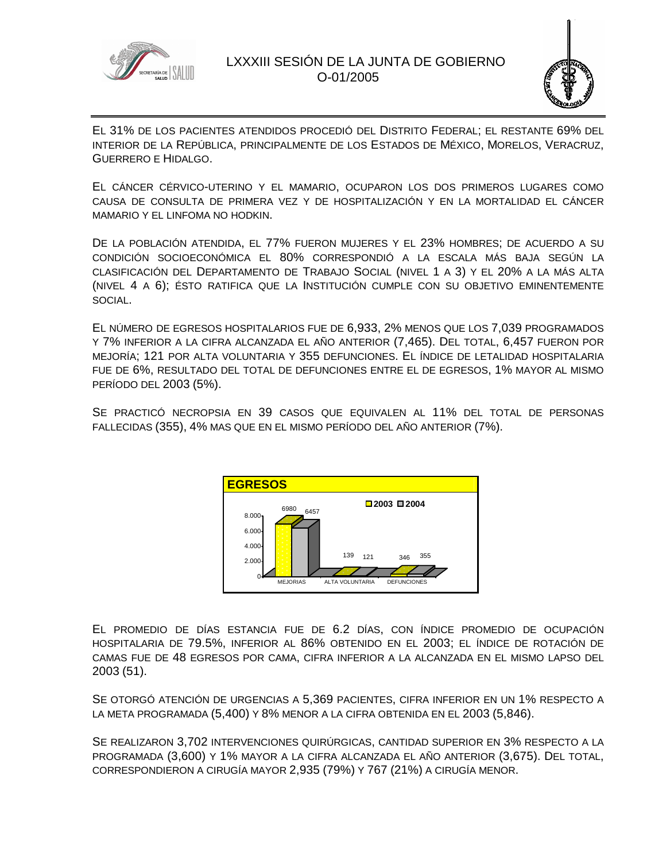



EL 31% DE LOS PACIENTES ATENDIDOS PROCEDIÓ DEL DISTRITO FEDERAL; EL RESTANTE 69% DEL INTERIOR DE LA REPÚBLICA, PRINCIPALMENTE DE LOS ESTADOS DE MÉXICO, MORELOS, VERACRUZ, GUERRERO E HIDALGO.

EL CÁNCER CÉRVICO-UTERINO Y EL MAMARIO, OCUPARON LOS DOS PRIMEROS LUGARES COMO CAUSA DE CONSULTA DE PRIMERA VEZ Y DE HOSPITALIZACIÓN Y EN LA MORTALIDAD EL CÁNCER MAMARIO Y EL LINFOMA NO HODKIN.

DE LA POBLACIÓN ATENDIDA, EL 77% FUERON MUJERES Y EL 23% HOMBRES; DE ACUERDO A SU CONDICIÓN SOCIOECONÓMICA EL 80% CORRESPONDIÓ A LA ESCALA MÁS BAJA SEGÚN LA CLASIFICACIÓN DEL DEPARTAMENTO DE TRABAJO SOCIAL (NIVEL 1 A 3) Y EL 20% A LA MÁS ALTA (NIVEL 4 A 6); ÉSTO RATIFICA QUE LA INSTITUCIÓN CUMPLE CON SU OBJETIVO EMINENTEMENTE SOCIAL.

EL NÚMERO DE EGRESOS HOSPITALARIOS FUE DE 6,933, 2% MENOS QUE LOS 7,039 PROGRAMADOS Y 7% INFERIOR A LA CIFRA ALCANZADA EL AÑO ANTERIOR (7,465). DEL TOTAL, 6,457 FUERON POR MEJORÍA; 121 POR ALTA VOLUNTARIA Y 355 DEFUNCIONES. EL ÍNDICE DE LETALIDAD HOSPITALARIA FUE DE 6%, RESULTADO DEL TOTAL DE DEFUNCIONES ENTRE EL DE EGRESOS, 1% MAYOR AL MISMO PERÍODO DEL 2003 (5%).

SE PRACTICÓ NECROPSIA EN 39 CASOS QUE EQUIVALEN AL 11% DEL TOTAL DE PERSONAS FALLECIDAS (355), 4% MAS QUE EN EL MISMO PERÍODO DEL AÑO ANTERIOR (7%).



EL PROMEDIO DE DÍAS ESTANCIA FUE DE 6.2 DÍAS, CON ÍNDICE PROMEDIO DE OCUPACIÓN HOSPITALARIA DE 79.5%, INFERIOR AL 86% OBTENIDO EN EL 2003; EL ÍNDICE DE ROTACIÓN DE CAMAS FUE DE 48 EGRESOS POR CAMA, CIFRA INFERIOR A LA ALCANZADA EN EL MISMO LAPSO DEL 2003 (51).

SE OTORGÓ ATENCIÓN DE URGENCIAS A 5,369 PACIENTES, CIFRA INFERIOR EN UN 1% RESPECTO A LA META PROGRAMADA (5,400) Y 8% MENOR A LA CIFRA OBTENIDA EN EL 2003 (5,846).

SE REALIZARON 3,702 INTERVENCIONES QUIRÚRGICAS, CANTIDAD SUPERIOR EN 3% RESPECTO A LA PROGRAMADA (3,600) Y 1% MAYOR A LA CIFRA ALCANZADA EL AÑO ANTERIOR (3,675). DEL TOTAL, CORRESPONDIERON A CIRUGÍA MAYOR 2,935 (79%) Y 767 (21%) A CIRUGÍA MENOR.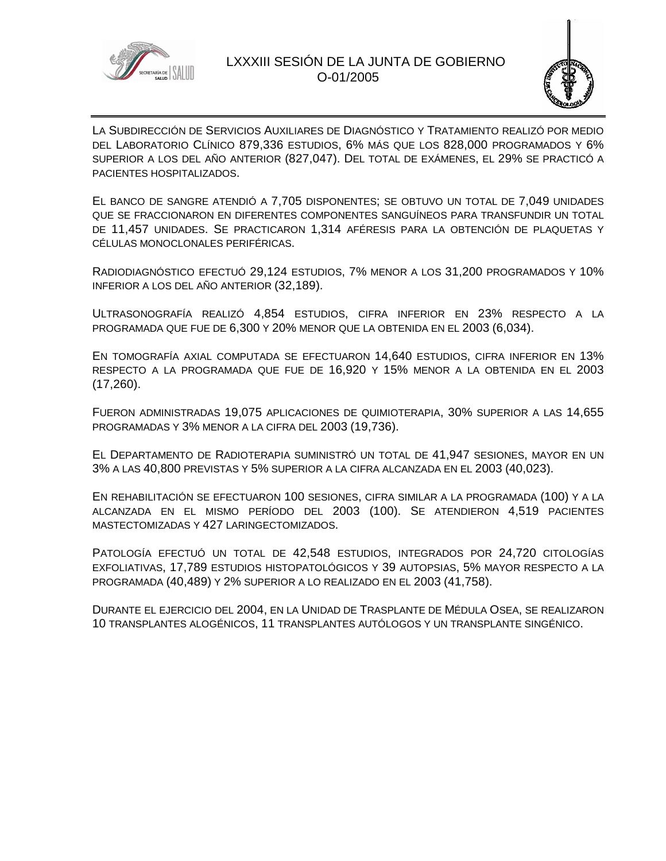



LA SUBDIRECCIÓN DE SERVICIOS AUXILIARES DE DIAGNÓSTICO Y TRATAMIENTO REALIZÓ POR MEDIO DEL LABORATORIO CLÍNICO 879,336 ESTUDIOS, 6% MÁS QUE LOS 828,000 PROGRAMADOS Y 6% SUPERIOR A LOS DEL AÑO ANTERIOR (827,047). DEL TOTAL DE EXÁMENES, EL 29% SE PRACTICÓ A PACIENTES HOSPITALIZADOS.

EL BANCO DE SANGRE ATENDIÓ A 7,705 DISPONENTES; SE OBTUVO UN TOTAL DE 7,049 UNIDADES QUE SE FRACCIONARON EN DIFERENTES COMPONENTES SANGUÍNEOS PARA TRANSFUNDIR UN TOTAL DE 11,457 UNIDADES. SE PRACTICARON 1,314 AFÉRESIS PARA LA OBTENCIÓN DE PLAQUETAS Y CÉLULAS MONOCLONALES PERIFÉRICAS.

RADIODIAGNÓSTICO EFECTUÓ 29,124 ESTUDIOS, 7% MENOR A LOS 31,200 PROGRAMADOS Y 10% INFERIOR A LOS DEL AÑO ANTERIOR (32,189).

ULTRASONOGRAFÍA REALIZÓ 4,854 ESTUDIOS, CIFRA INFERIOR EN 23% RESPECTO A LA PROGRAMADA QUE FUE DE 6,300 Y 20% MENOR QUE LA OBTENIDA EN EL 2003 (6,034).

EN TOMOGRAFÍA AXIAL COMPUTADA SE EFECTUARON 14,640 ESTUDIOS, CIFRA INFERIOR EN 13% RESPECTO A LA PROGRAMADA QUE FUE DE 16,920 Y 15% MENOR A LA OBTENIDA EN EL 2003 (17,260).

FUERON ADMINISTRADAS 19,075 APLICACIONES DE QUIMIOTERAPIA, 30% SUPERIOR A LAS 14,655 PROGRAMADAS Y 3% MENOR A LA CIFRA DEL 2003 (19,736).

EL DEPARTAMENTO DE RADIOTERAPIA SUMINISTRÓ UN TOTAL DE 41,947 SESIONES, MAYOR EN UN 3% A LAS 40,800 PREVISTAS Y 5% SUPERIOR A LA CIFRA ALCANZADA EN EL 2003 (40,023).

EN REHABILITACIÓN SE EFECTUARON 100 SESIONES, CIFRA SIMILAR A LA PROGRAMADA (100) Y A LA ALCANZADA EN EL MISMO PERÍODO DEL 2003 (100). SE ATENDIERON 4,519 PACIENTES MASTECTOMIZADAS Y 427 LARINGECTOMIZADOS.

PATOLOGÍA EFECTUÓ UN TOTAL DE 42,548 ESTUDIOS, INTEGRADOS POR 24,720 CITOLOGÍAS EXFOLIATIVAS, 17,789 ESTUDIOS HISTOPATOLÓGICOS Y 39 AUTOPSIAS, 5% MAYOR RESPECTO A LA PROGRAMADA (40,489) Y 2% SUPERIOR A LO REALIZADO EN EL 2003 (41,758).

DURANTE EL EJERCICIO DEL 2004, EN LA UNIDAD DE TRASPLANTE DE MÉDULA OSEA, SE REALIZARON 10 TRANSPLANTES ALOGÉNICOS, 11 TRANSPLANTES AUTÓLOGOS Y UN TRANSPLANTE SINGÉNICO.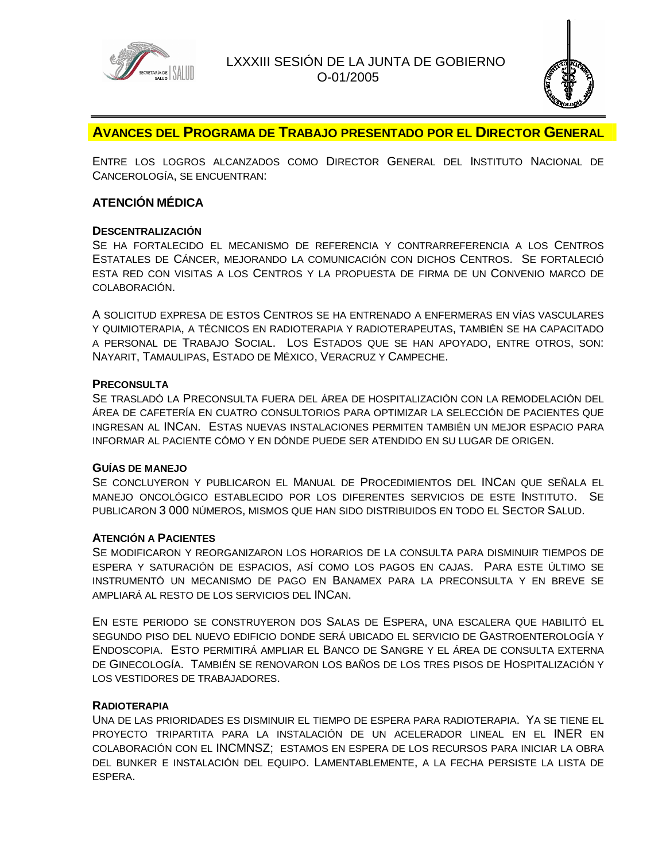



# **AVANCES DEL PROGRAMA DE TRABAJO PRESENTADO POR EL DIRECTOR GENERAL**

ENTRE LOS LOGROS ALCANZADOS COMO DIRECTOR GENERAL DEL INSTITUTO NACIONAL DE CANCEROLOGÍA, SE ENCUENTRAN:

# **ATENCIÓN MÉDICA**

### **DESCENTRALIZACIÓN**

SE HA FORTALECIDO EL MECANISMO DE REFERENCIA Y CONTRARREFERENCIA A LOS CENTROS ESTATALES DE CÁNCER, MEJORANDO LA COMUNICACIÓN CON DICHOS CENTROS. SE FORTALECIÓ ESTA RED CON VISITAS A LOS CENTROS Y LA PROPUESTA DE FIRMA DE UN CONVENIO MARCO DE COLABORACIÓN.

A SOLICITUD EXPRESA DE ESTOS CENTROS SE HA ENTRENADO A ENFERMERAS EN VÍAS VASCULARES Y QUIMIOTERAPIA, A TÉCNICOS EN RADIOTERAPIA Y RADIOTERAPEUTAS, TAMBIÉN SE HA CAPACITADO A PERSONAL DE TRABAJO SOCIAL. LOS ESTADOS QUE SE HAN APOYADO, ENTRE OTROS, SON: NAYARIT, TAMAULIPAS, ESTADO DE MÉXICO, VERACRUZ Y CAMPECHE.

#### **PRECONSULTA**

SE TRASLADÓ LA PRECONSULTA FUERA DEL ÁREA DE HOSPITALIZACIÓN CON LA REMODELACIÓN DEL ÁREA DE CAFETERÍA EN CUATRO CONSULTORIOS PARA OPTIMIZAR LA SELECCIÓN DE PACIENTES QUE INGRESAN AL INCAN. ESTAS NUEVAS INSTALACIONES PERMITEN TAMBIÉN UN MEJOR ESPACIO PARA INFORMAR AL PACIENTE CÓMO Y EN DÓNDE PUEDE SER ATENDIDO EN SU LUGAR DE ORIGEN.

#### **GUÍAS DE MANEJO**

SE CONCLUYERON Y PUBLICARON EL MANUAL DE PROCEDIMIENTOS DEL INCAN QUE SEÑALA EL MANEJO ONCOLÓGICO ESTABLECIDO POR LOS DIFERENTES SERVICIOS DE ESTE INSTITUTO. SE PUBLICARON 3 000 NÚMEROS, MISMOS QUE HAN SIDO DISTRIBUIDOS EN TODO EL SECTOR SALUD.

#### **ATENCIÓN A PACIENTES**

SE MODIFICARON Y REORGANIZARON LOS HORARIOS DE LA CONSULTA PARA DISMINUIR TIEMPOS DE ESPERA Y SATURACIÓN DE ESPACIOS, ASÍ COMO LOS PAGOS EN CAJAS. PARA ESTE ÚLTIMO SE INSTRUMENTÓ UN MECANISMO DE PAGO EN BANAMEX PARA LA PRECONSULTA Y EN BREVE SE AMPLIARÁ AL RESTO DE LOS SERVICIOS DEL INCAN.

EN ESTE PERIODO SE CONSTRUYERON DOS SALAS DE ESPERA, UNA ESCALERA QUE HABILITÓ EL SEGUNDO PISO DEL NUEVO EDIFICIO DONDE SERÁ UBICADO EL SERVICIO DE GASTROENTEROLOGÍA Y ENDOSCOPIA. ESTO PERMITIRÁ AMPLIAR EL BANCO DE SANGRE Y EL ÁREA DE CONSULTA EXTERNA DE GINECOLOGÍA. TAMBIÉN SE RENOVARON LOS BAÑOS DE LOS TRES PISOS DE HOSPITALIZACIÓN Y LOS VESTIDORES DE TRABAJADORES.

#### **RADIOTERAPIA**

UNA DE LAS PRIORIDADES ES DISMINUIR EL TIEMPO DE ESPERA PARA RADIOTERAPIA. YA SE TIENE EL PROYECTO TRIPARTITA PARA LA INSTALACIÓN DE UN ACELERADOR LINEAL EN EL INER EN COLABORACIÓN CON EL INCMNSZ; ESTAMOS EN ESPERA DE LOS RECURSOS PARA INICIAR LA OBRA DEL BUNKER E INSTALACIÓN DEL EQUIPO. LAMENTABLEMENTE, A LA FECHA PERSISTE LA LISTA DE ESPERA.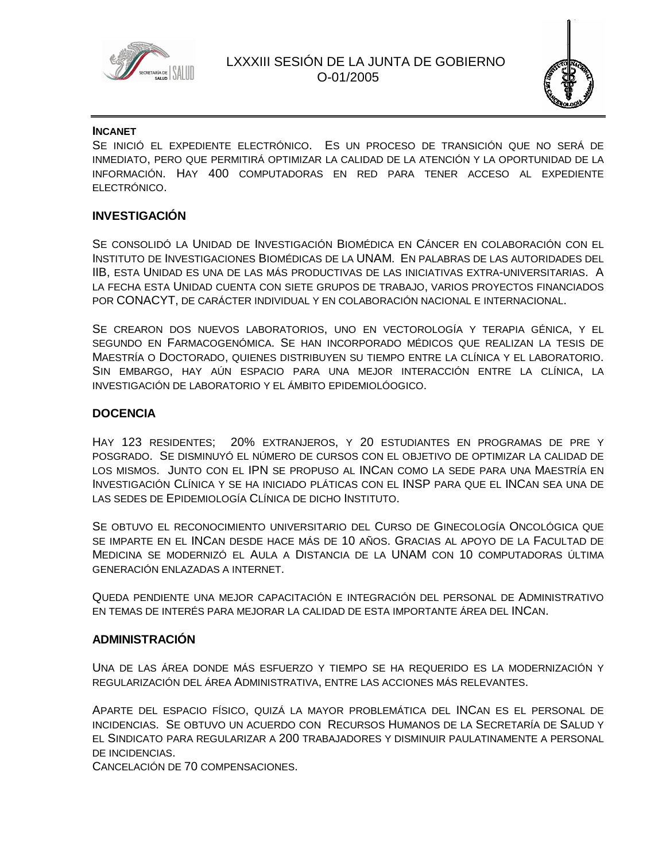



#### **INCANET**

SE INICIÓ EL EXPEDIENTE ELECTRÓNICO. ES UN PROCESO DE TRANSICIÓN QUE NO SERÁ DE INMEDIATO, PERO QUE PERMITIRÁ OPTIMIZAR LA CALIDAD DE LA ATENCIÓN Y LA OPORTUNIDAD DE LA INFORMACIÓN. HAY 400 COMPUTADORAS EN RED PARA TENER ACCESO AL EXPEDIENTE ELECTRÓNICO.

### **INVESTIGACIÓN**

SE CONSOLIDÓ LA UNIDAD DE INVESTIGACIÓN BIOMÉDICA EN CÁNCER EN COLABORACIÓN CON EL INSTITUTO DE INVESTIGACIONES BIOMÉDICAS DE LA UNAM. EN PALABRAS DE LAS AUTORIDADES DEL IIB, ESTA UNIDAD ES UNA DE LAS MÁS PRODUCTIVAS DE LAS INICIATIVAS EXTRA-UNIVERSITARIAS. A LA FECHA ESTA UNIDAD CUENTA CON SIETE GRUPOS DE TRABAJO, VARIOS PROYECTOS FINANCIADOS POR CONACYT, DE CARÁCTER INDIVIDUAL Y EN COLABORACIÓN NACIONAL E INTERNACIONAL.

SE CREARON DOS NUEVOS LABORATORIOS, UNO EN VECTOROLOGÍA Y TERAPIA GÉNICA, Y EL SEGUNDO EN FARMACOGENÓMICA. SE HAN INCORPORADO MÉDICOS QUE REALIZAN LA TESIS DE MAESTRÍA O DOCTORADO, QUIENES DISTRIBUYEN SU TIEMPO ENTRE LA CLÍNICA Y EL LABORATORIO. SIN EMBARGO, HAY AÚN ESPACIO PARA UNA MEJOR INTERACCIÓN ENTRE LA CLÍNICA, LA INVESTIGACIÓN DE LABORATORIO Y EL ÁMBITO EPIDEMIOLÓOGICO.

### **DOCENCIA**

HAY 123 RESIDENTES; 20% EXTRANJEROS, Y 20 ESTUDIANTES EN PROGRAMAS DE PRE Y POSGRADO. SE DISMINUYÓ EL NÚMERO DE CURSOS CON EL OBJETIVO DE OPTIMIZAR LA CALIDAD DE LOS MISMOS. JUNTO CON EL IPN SE PROPUSO AL INCAN COMO LA SEDE PARA UNA MAESTRÍA EN INVESTIGACIÓN CLÍNICA Y SE HA INICIADO PLÁTICAS CON EL INSP PARA QUE EL INCAN SEA UNA DE LAS SEDES DE EPIDEMIOLOGÍA CLÍNICA DE DICHO INSTITUTO.

SE OBTUVO EL RECONOCIMIENTO UNIVERSITARIO DEL CURSO DE GINECOLOGÍA ONCOLÓGICA QUE SE IMPARTE EN EL INCAN DESDE HACE MÁS DE 10 AÑOS. GRACIAS AL APOYO DE LA FACULTAD DE MEDICINA SE MODERNIZÓ EL AULA A DISTANCIA DE LA UNAM CON 10 COMPUTADORAS ÚLTIMA GENERACIÓN ENLAZADAS A INTERNET.

QUEDA PENDIENTE UNA MEJOR CAPACITACIÓN E INTEGRACIÓN DEL PERSONAL DE ADMINISTRATIVO EN TEMAS DE INTERÉS PARA MEJORAR LA CALIDAD DE ESTA IMPORTANTE ÁREA DEL INCAN.

#### **ADMINISTRACIÓN**

UNA DE LAS ÁREA DONDE MÁS ESFUERZO Y TIEMPO SE HA REQUERIDO ES LA MODERNIZACIÓN Y REGULARIZACIÓN DEL ÁREA ADMINISTRATIVA, ENTRE LAS ACCIONES MÁS RELEVANTES.

APARTE DEL ESPACIO FÍSICO, QUIZÁ LA MAYOR PROBLEMÁTICA DEL INCAN ES EL PERSONAL DE INCIDENCIAS. SE OBTUVO UN ACUERDO CON RECURSOS HUMANOS DE LA SECRETARÍA DE SALUD Y EL SINDICATO PARA REGULARIZAR A 200 TRABAJADORES Y DISMINUIR PAULATINAMENTE A PERSONAL DE INCIDENCIAS.

CANCELACIÓN DE 70 COMPENSACIONES.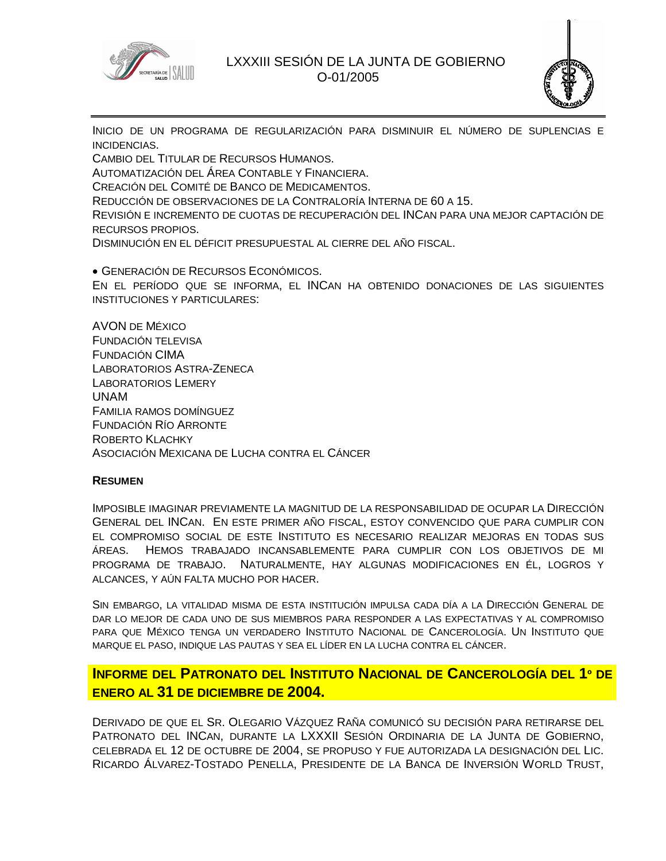

### LXXXIII SESIÓN DE LA JUNTA DE GOBIERNO O-01/2005



INICIO DE UN PROGRAMA DE REGULARIZACIÓN PARA DISMINUIR EL NÚMERO DE SUPLENCIAS E INCIDENCIAS.

CAMBIO DEL TITULAR DE RECURSOS HUMANOS. AUTOMATIZACIÓN DEL ÁREA CONTABLE Y FINANCIERA. CREACIÓN DEL COMITÉ DE BANCO DE MEDICAMENTOS. REDUCCIÓN DE OBSERVACIONES DE LA CONTRALORÍA INTERNA DE 60 A 15. REVISIÓN E INCREMENTO DE CUOTAS DE RECUPERACIÓN DEL INCAN PARA UNA MEJOR CAPTACIÓN DE RECURSOS PROPIOS. DISMINUCIÓN EN EL DÉFICIT PRESUPUESTAL AL CIERRE DEL AÑO FISCAL.

 GENERACIÓN DE RECURSOS ECONÓMICOS. EN EL PERÍODO QUE SE INFORMA, EL INCAN HA OBTENIDO DONACIONES DE LAS SIGUIENTES INSTITUCIONES Y PARTICULARES:

AVON DE MÉXICO FUNDACIÓN TELEVISA FUNDACIÓN CIMA LABORATORIOS ASTRA-ZENECA LABORATORIOS LEMERY UNAM FAMILIA RAMOS DOMÍNGUEZ FUNDACIÓN RÍO ARRONTE ROBERTO KLACHKY ASOCIACIÓN MEXICANA DE LUCHA CONTRA EL CÁNCER

#### **RESUMEN**

IMPOSIBLE IMAGINAR PREVIAMENTE LA MAGNITUD DE LA RESPONSABILIDAD DE OCUPAR LA DIRECCIÓN GENERAL DEL INCAN. EN ESTE PRIMER AÑO FISCAL, ESTOY CONVENCIDO QUE PARA CUMPLIR CON EL COMPROMISO SOCIAL DE ESTE INSTITUTO ES NECESARIO REALIZAR MEJORAS EN TODAS SUS ÁREAS. HEMOS TRABAJADO INCANSABLEMENTE PARA CUMPLIR CON LOS OBJETIVOS DE MI PROGRAMA DE TRABAJO. NATURALMENTE, HAY ALGUNAS MODIFICACIONES EN ÉL, LOGROS Y ALCANCES, Y AÚN FALTA MUCHO POR HACER.

SIN EMBARGO, LA VITALIDAD MISMA DE ESTA INSTITUCIÓN IMPULSA CADA DÍA A LA DIRECCIÓN GENERAL DE DAR LO MEJOR DE CADA UNO DE SUS MIEMBROS PARA RESPONDER A LAS EXPECTATIVAS Y AL COMPROMISO PARA QUE MÉXICO TENGA UN VERDADERO INSTITUTO NACIONAL DE CANCEROLOGÍA. UN INSTITUTO QUE MARQUE EL PASO, INDIQUE LAS PAUTAS Y SEA EL LÍDER EN LA LUCHA CONTRA EL CÁNCER.

# **INFORME DEL PATRONATO DEL INSTITUTO NACIONAL DE CANCEROLOGÍA DEL 1º DE ENERO AL 31 DE DICIEMBRE DE 2004.**

DERIVADO DE QUE EL SR. OLEGARIO VÁZQUEZ RAÑA COMUNICÓ SU DECISIÓN PARA RETIRARSE DEL PATRONATO DEL INCAN, DURANTE LA LXXXII SESIÓN ORDINARIA DE LA JUNTA DE GOBIERNO, CELEBRADA EL 12 DE OCTUBRE DE 2004, SE PROPUSO Y FUE AUTORIZADA LA DESIGNACIÓN DEL LIC. RICARDO ÁLVAREZ-TOSTADO PENELLA, PRESIDENTE DE LA BANCA DE INVERSIÓN WORLD TRUST,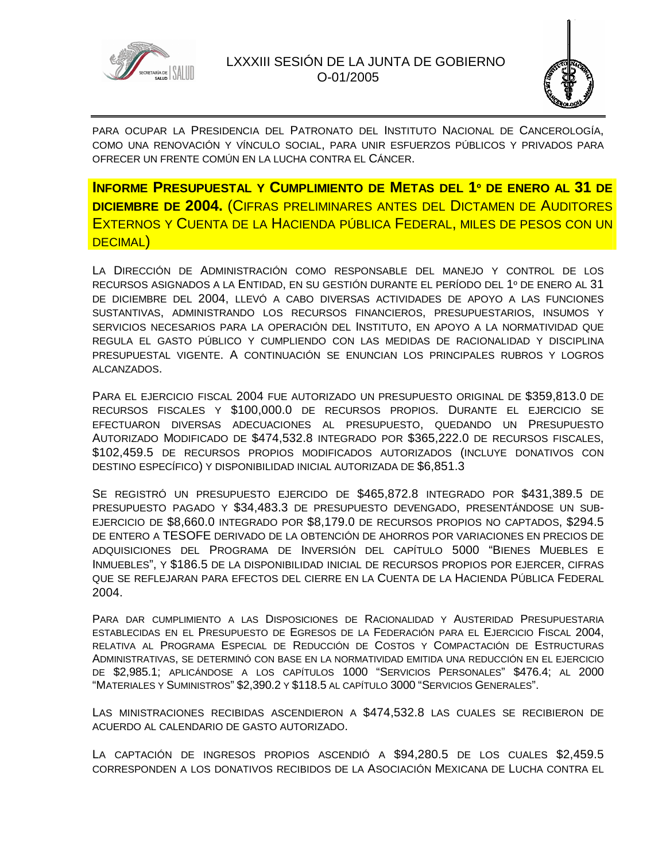



PARA OCUPAR LA PRESIDENCIA DEL PATRONATO DEL INSTITUTO NACIONAL DE CANCEROLOGÍA, COMO UNA RENOVACIÓN Y VÍNCULO SOCIAL, PARA UNIR ESFUERZOS PÚBLICOS Y PRIVADOS PARA OFRECER UN FRENTE COMÚN EN LA LUCHA CONTRA EL CÁNCER.

**INFORME PRESUPUESTAL Y CUMPLIMIENTO DE METAS DEL 1º DE ENERO AL 31 DE DICIEMBRE DE 2004.** (CIFRAS PRELIMINARES ANTES DEL DICTAMEN DE AUDITORES EXTERNOS Y CUENTA DE LA HACIENDA PÚBLICA FEDERAL, MILES DE PESOS CON UN DECIMAL)

LA DIRECCIÓN DE ADMINISTRACIÓN COMO RESPONSABLE DEL MANEJO Y CONTROL DE LOS RECURSOS ASIGNADOS A LA ENTIDAD, EN SU GESTIÓN DURANTE EL PERÍODO DEL 1º DE ENERO AL 31 DE DICIEMBRE DEL 2004, LLEVÓ A CABO DIVERSAS ACTIVIDADES DE APOYO A LAS FUNCIONES SUSTANTIVAS, ADMINISTRANDO LOS RECURSOS FINANCIEROS, PRESUPUESTARIOS, INSUMOS Y SERVICIOS NECESARIOS PARA LA OPERACIÓN DEL INSTITUTO, EN APOYO A LA NORMATIVIDAD QUE REGULA EL GASTO PÚBLICO Y CUMPLIENDO CON LAS MEDIDAS DE RACIONALIDAD Y DISCIPLINA PRESUPUESTAL VIGENTE. A CONTINUACIÓN SE ENUNCIAN LOS PRINCIPALES RUBROS Y LOGROS ALCANZADOS.

PARA EL EJERCICIO FISCAL 2004 FUE AUTORIZADO UN PRESUPUESTO ORIGINAL DE \$359,813.0 DE RECURSOS FISCALES Y \$100,000.0 DE RECURSOS PROPIOS. DURANTE EL EJERCICIO SE EFECTUARON DIVERSAS ADECUACIONES AL PRESUPUESTO, QUEDANDO UN PRESUPUESTO AUTORIZADO MODIFICADO DE \$474,532.8 INTEGRADO POR \$365,222.0 DE RECURSOS FISCALES, \$102,459.5 DE RECURSOS PROPIOS MODIFICADOS AUTORIZADOS (INCLUYE DONATIVOS CON DESTINO ESPECÍFICO) Y DISPONIBILIDAD INICIAL AUTORIZADA DE \$6,851.3

SE REGISTRÓ UN PRESUPUESTO EJERCIDO DE \$465,872.8 INTEGRADO POR \$431,389.5 DE PRESUPUESTO PAGADO Y \$34,483.3 DE PRESUPUESTO DEVENGADO, PRESENTÁNDOSE UN SUB-EJERCICIO DE \$8,660.0 INTEGRADO POR \$8,179.0 DE RECURSOS PROPIOS NO CAPTADOS, \$294.5 DE ENTERO A TESOFE DERIVADO DE LA OBTENCIÓN DE AHORROS POR VARIACIONES EN PRECIOS DE ADQUISICIONES DEL PROGRAMA DE INVERSIÓN DEL CAPÍTULO 5000 "BIENES MUEBLES E INMUEBLES", Y \$186.5 DE LA DISPONIBILIDAD INICIAL DE RECURSOS PROPIOS POR EJERCER, CIFRAS QUE SE REFLEJARAN PARA EFECTOS DEL CIERRE EN LA CUENTA DE LA HACIENDA PÚBLICA FEDERAL 2004.

PARA DAR CUMPLIMIENTO A LAS DISPOSICIONES DE RACIONALIDAD Y AUSTERIDAD PRESUPUESTARIA ESTABLECIDAS EN EL PRESUPUESTO DE EGRESOS DE LA FEDERACIÓN PARA EL EJERCICIO FISCAL 2004, RELATIVA AL PROGRAMA ESPECIAL DE REDUCCIÓN DE COSTOS Y COMPACTACIÓN DE ESTRUCTURAS ADMINISTRATIVAS, SE DETERMINÓ CON BASE EN LA NORMATIVIDAD EMITIDA UNA REDUCCIÓN EN EL EJERCICIO DE \$2,985.1; APLICÁNDOSE A LOS CAPÍTULOS 1000 "SERVICIOS PERSONALES" \$476.4; AL 2000 "MATERIALES Y SUMINISTROS" \$2,390.2 Y \$118.5 AL CAPÍTULO 3000 "SERVICIOS GENERALES".

LAS MINISTRACIONES RECIBIDAS ASCENDIERON A \$474,532.8 LAS CUALES SE RECIBIERON DE ACUERDO AL CALENDARIO DE GASTO AUTORIZADO.

LA CAPTACIÓN DE INGRESOS PROPIOS ASCENDIÓ A \$94,280.5 DE LOS CUALES \$2,459.5 CORRESPONDEN A LOS DONATIVOS RECIBIDOS DE LA ASOCIACIÓN MEXICANA DE LUCHA CONTRA EL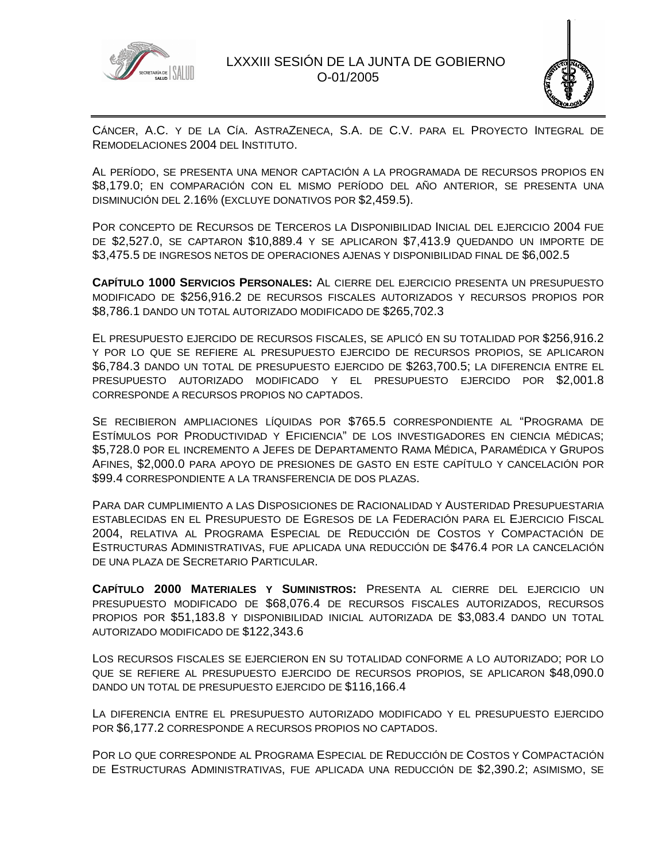



CÁNCER, A.C. Y DE LA CÍA. ASTRAZENECA, S.A. DE C.V. PARA EL PROYECTO INTEGRAL DE REMODELACIONES 2004 DEL INSTITUTO.

AL PERÍODO, SE PRESENTA UNA MENOR CAPTACIÓN A LA PROGRAMADA DE RECURSOS PROPIOS EN \$8,179.0; EN COMPARACIÓN CON EL MISMO PERÍODO DEL AÑO ANTERIOR, SE PRESENTA UNA DISMINUCIÓN DEL 2.16% (EXCLUYE DONATIVOS POR \$2,459.5).

POR CONCEPTO DE RECURSOS DE TERCEROS LA DISPONIBILIDAD INICIAL DEL EJERCICIO 2004 FUE DE \$2,527.0, SE CAPTARON \$10,889.4 Y SE APLICARON \$7,413.9 QUEDANDO UN IMPORTE DE \$3,475.5 DE INGRESOS NETOS DE OPERACIONES AJENAS Y DISPONIBILIDAD FINAL DE \$6,002.5

**CAPÍTULO 1000 SERVICIOS PERSONALES:** AL CIERRE DEL EJERCICIO PRESENTA UN PRESUPUESTO MODIFICADO DE \$256,916.2 DE RECURSOS FISCALES AUTORIZADOS Y RECURSOS PROPIOS POR \$8,786.1 DANDO UN TOTAL AUTORIZADO MODIFICADO DE \$265,702.3

EL PRESUPUESTO EJERCIDO DE RECURSOS FISCALES, SE APLICÓ EN SU TOTALIDAD POR \$256,916.2 Y POR LO QUE SE REFIERE AL PRESUPUESTO EJERCIDO DE RECURSOS PROPIOS, SE APLICARON \$6,784.3 DANDO UN TOTAL DE PRESUPUESTO EJERCIDO DE \$263,700.5; LA DIFERENCIA ENTRE EL PRESUPUESTO AUTORIZADO MODIFICADO Y EL PRESUPUESTO EJERCIDO POR \$2,001.8 CORRESPONDE A RECURSOS PROPIOS NO CAPTADOS.

SE RECIBIERON AMPLIACIONES LÍQUIDAS POR \$765.5 CORRESPONDIENTE AL "PROGRAMA DE ESTÍMULOS POR PRODUCTIVIDAD Y EFICIENCIA" DE LOS INVESTIGADORES EN CIENCIA MÉDICAS; \$5,728.0 POR EL INCREMENTO A JEFES DE DEPARTAMENTO RAMA MÉDICA, PARAMÉDICA Y GRUPOS AFINES, \$2,000.0 PARA APOYO DE PRESIONES DE GASTO EN ESTE CAPÍTULO Y CANCELACIÓN POR \$99.4 CORRESPONDIENTE A LA TRANSFERENCIA DE DOS PLAZAS.

PARA DAR CUMPLIMIENTO A LAS DISPOSICIONES DE RACIONALIDAD Y AUSTERIDAD PRESUPUESTARIA ESTABLECIDAS EN EL PRESUPUESTO DE EGRESOS DE LA FEDERACIÓN PARA EL EJERCICIO FISCAL 2004, RELATIVA AL PROGRAMA ESPECIAL DE REDUCCIÓN DE COSTOS Y COMPACTACIÓN DE ESTRUCTURAS ADMINISTRATIVAS, FUE APLICADA UNA REDUCCIÓN DE \$476.4 POR LA CANCELACIÓN DE UNA PLAZA DE SECRETARIO PARTICULAR.

**CAPÍTULO 2000 MATERIALES Y SUMINISTROS:** PRESENTA AL CIERRE DEL EJERCICIO UN PRESUPUESTO MODIFICADO DE \$68,076.4 DE RECURSOS FISCALES AUTORIZADOS, RECURSOS PROPIOS POR \$51,183.8 Y DISPONIBILIDAD INICIAL AUTORIZADA DE \$3,083.4 DANDO UN TOTAL AUTORIZADO MODIFICADO DE \$122,343.6

LOS RECURSOS FISCALES SE EJERCIERON EN SU TOTALIDAD CONFORME A LO AUTORIZADO; POR LO QUE SE REFIERE AL PRESUPUESTO EJERCIDO DE RECURSOS PROPIOS, SE APLICARON \$48,090.0 DANDO UN TOTAL DE PRESUPUESTO EJERCIDO DE \$116,166.4

LA DIFERENCIA ENTRE EL PRESUPUESTO AUTORIZADO MODIFICADO Y EL PRESUPUESTO EJERCIDO POR \$6,177.2 CORRESPONDE A RECURSOS PROPIOS NO CAPTADOS.

POR LO QUE CORRESPONDE AL PROGRAMA ESPECIAL DE REDUCCIÓN DE COSTOS Y COMPACTACIÓN DE ESTRUCTURAS ADMINISTRATIVAS, FUE APLICADA UNA REDUCCIÓN DE \$2,390.2; ASIMISMO, SE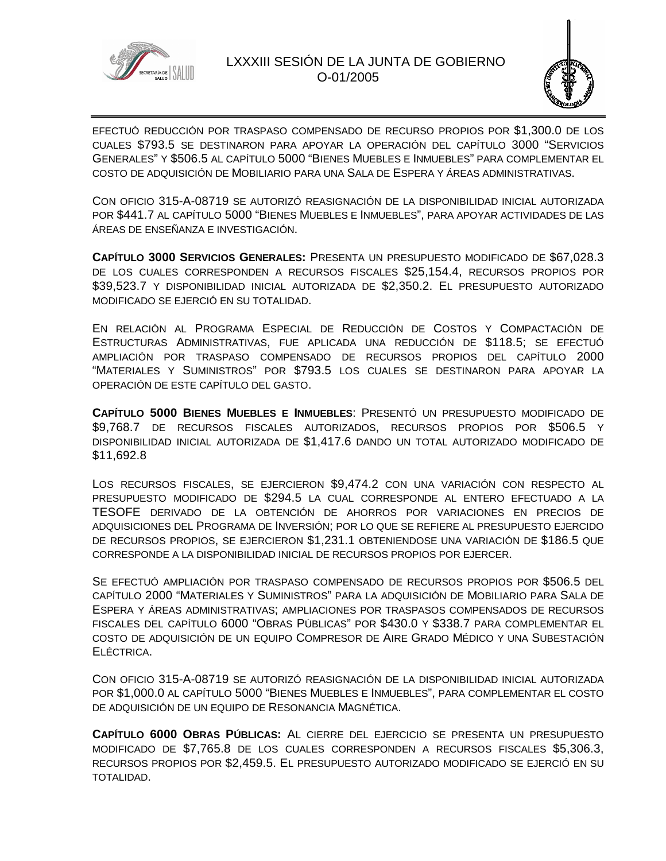



EFECTUÓ REDUCCIÓN POR TRASPASO COMPENSADO DE RECURSO PROPIOS POR \$1,300.0 DE LOS CUALES \$793.5 SE DESTINARON PARA APOYAR LA OPERACIÓN DEL CAPÍTULO 3000 "SERVICIOS GENERALES" Y \$506.5 AL CAPÍTULO 5000 "BIENES MUEBLES E INMUEBLES" PARA COMPLEMENTAR EL COSTO DE ADQUISICIÓN DE MOBILIARIO PARA UNA SALA DE ESPERA Y ÁREAS ADMINISTRATIVAS.

CON OFICIO 315-A-08719 SE AUTORIZÓ REASIGNACIÓN DE LA DISPONIBILIDAD INICIAL AUTORIZADA POR \$441.7 AL CAPÍTULO 5000 "BIENES MUEBLES E INMUEBLES", PARA APOYAR ACTIVIDADES DE LAS ÁREAS DE ENSEÑANZA E INVESTIGACIÓN.

**CAPÍTULO 3000 SERVICIOS GENERALES:** PRESENTA UN PRESUPUESTO MODIFICADO DE \$67,028.3 DE LOS CUALES CORRESPONDEN A RECURSOS FISCALES \$25,154.4, RECURSOS PROPIOS POR \$39,523.7 Y DISPONIBILIDAD INICIAL AUTORIZADA DE \$2,350.2. EL PRESUPUESTO AUTORIZADO MODIFICADO SE EJERCIÓ EN SU TOTALIDAD.

EN RELACIÓN AL PROGRAMA ESPECIAL DE REDUCCIÓN DE COSTOS Y COMPACTACIÓN DE ESTRUCTURAS ADMINISTRATIVAS, FUE APLICADA UNA REDUCCIÓN DE \$118.5; SE EFECTUÓ AMPLIACIÓN POR TRASPASO COMPENSADO DE RECURSOS PROPIOS DEL CAPÍTULO 2000 "MATERIALES Y SUMINISTROS" POR \$793.5 LOS CUALES SE DESTINARON PARA APOYAR LA OPERACIÓN DE ESTE CAPÍTULO DEL GASTO.

**CAPÍTULO 5000 BIENES MUEBLES E INMUEBLES**: PRESENTÓ UN PRESUPUESTO MODIFICADO DE \$9,768.7 DE RECURSOS FISCALES AUTORIZADOS, RECURSOS PROPIOS POR \$506.5 Y DISPONIBILIDAD INICIAL AUTORIZADA DE \$1,417.6 DANDO UN TOTAL AUTORIZADO MODIFICADO DE \$11,692.8

LOS RECURSOS FISCALES, SE EJERCIERON \$9,474.2 CON UNA VARIACIÓN CON RESPECTO AL PRESUPUESTO MODIFICADO DE \$294.5 LA CUAL CORRESPONDE AL ENTERO EFECTUADO A LA TESOFE DERIVADO DE LA OBTENCIÓN DE AHORROS POR VARIACIONES EN PRECIOS DE ADQUISICIONES DEL PROGRAMA DE INVERSIÓN; POR LO QUE SE REFIERE AL PRESUPUESTO EJERCIDO DE RECURSOS PROPIOS, SE EJERCIERON \$1,231.1 OBTENIENDOSE UNA VARIACIÓN DE \$186.5 QUE CORRESPONDE A LA DISPONIBILIDAD INICIAL DE RECURSOS PROPIOS POR EJERCER.

SE EFECTUÓ AMPLIACIÓN POR TRASPASO COMPENSADO DE RECURSOS PROPIOS POR \$506.5 DEL CAPÍTULO 2000 "MATERIALES Y SUMINISTROS" PARA LA ADQUISICIÓN DE MOBILIARIO PARA SALA DE ESPERA Y ÁREAS ADMINISTRATIVAS; AMPLIACIONES POR TRASPASOS COMPENSADOS DE RECURSOS FISCALES DEL CAPÍTULO 6000 "OBRAS PÚBLICAS" POR \$430.0 Y \$338.7 PARA COMPLEMENTAR EL COSTO DE ADQUISICIÓN DE UN EQUIPO COMPRESOR DE AIRE GRADO MÉDICO Y UNA SUBESTACIÓN ELÉCTRICA.

CON OFICIO 315-A-08719 SE AUTORIZÓ REASIGNACIÓN DE LA DISPONIBILIDAD INICIAL AUTORIZADA POR \$1,000.0 AL CAPÍTULO 5000 "BIENES MUEBLES E INMUEBLES", PARA COMPLEMENTAR EL COSTO DE ADQUISICIÓN DE UN EQUIPO DE RESONANCIA MAGNÉTICA.

**CAPÍTULO 6000 OBRAS PÚBLICAS:** AL CIERRE DEL EJERCICIO SE PRESENTA UN PRESUPUESTO MODIFICADO DE \$7,765.8 DE LOS CUALES CORRESPONDEN A RECURSOS FISCALES \$5,306.3, RECURSOS PROPIOS POR \$2,459.5. EL PRESUPUESTO AUTORIZADO MODIFICADO SE EJERCIÓ EN SU TOTALIDAD.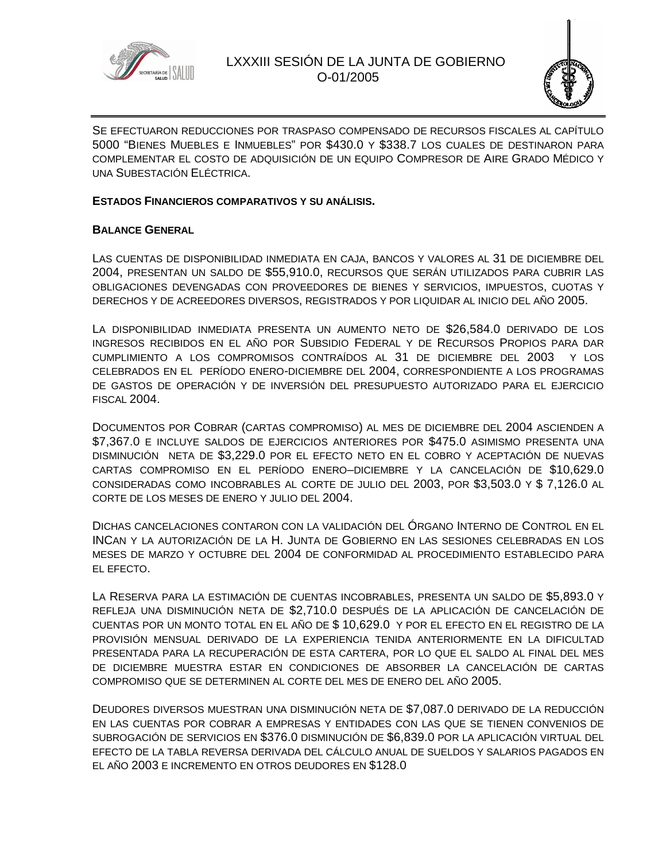



SE EFECTUARON REDUCCIONES POR TRASPASO COMPENSADO DE RECURSOS FISCALES AL CAPÍTULO 5000 "BIENES MUEBLES E INMUEBLES" POR \$430.0 Y \$338.7 LOS CUALES DE DESTINARON PARA COMPLEMENTAR EL COSTO DE ADQUISICIÓN DE UN EQUIPO COMPRESOR DE AIRE GRADO MÉDICO Y UNA SUBESTACIÓN ELÉCTRICA.

#### **ESTADOS FINANCIEROS COMPARATIVOS Y SU ANÁLISIS.**

### **BALANCE GENERAL**

LAS CUENTAS DE DISPONIBILIDAD INMEDIATA EN CAJA, BANCOS Y VALORES AL 31 DE DICIEMBRE DEL 2004, PRESENTAN UN SALDO DE \$55,910.0, RECURSOS QUE SERÁN UTILIZADOS PARA CUBRIR LAS OBLIGACIONES DEVENGADAS CON PROVEEDORES DE BIENES Y SERVICIOS, IMPUESTOS, CUOTAS Y DERECHOS Y DE ACREEDORES DIVERSOS, REGISTRADOS Y POR LIQUIDAR AL INICIO DEL AÑO 2005.

LA DISPONIBILIDAD INMEDIATA PRESENTA UN AUMENTO NETO DE \$26,584.0 DERIVADO DE LOS INGRESOS RECIBIDOS EN EL AÑO POR SUBSIDIO FEDERAL Y DE RECURSOS PROPIOS PARA DAR CUMPLIMIENTO A LOS COMPROMISOS CONTRAÍDOS AL 31 DE DICIEMBRE DEL 2003 Y LOS CELEBRADOS EN EL PERÍODO ENERO-DICIEMBRE DEL 2004, CORRESPONDIENTE A LOS PROGRAMAS DE GASTOS DE OPERACIÓN Y DE INVERSIÓN DEL PRESUPUESTO AUTORIZADO PARA EL EJERCICIO FISCAL 2004.

DOCUMENTOS POR COBRAR (CARTAS COMPROMISO) AL MES DE DICIEMBRE DEL 2004 ASCIENDEN A \$7,367.0 E INCLUYE SALDOS DE EJERCICIOS ANTERIORES POR \$475.0 ASIMISMO PRESENTA UNA DISMINUCIÓN NETA DE \$3,229.0 POR EL EFECTO NETO EN EL COBRO Y ACEPTACIÓN DE NUEVAS CARTAS COMPROMISO EN EL PERÍODO ENERO–DICIEMBRE Y LA CANCELACIÓN DE \$10,629.0 CONSIDERADAS COMO INCOBRABLES AL CORTE DE JULIO DEL 2003, POR \$3,503.0 Y \$ 7,126.0 AL CORTE DE LOS MESES DE ENERO Y JULIO DEL 2004.

DICHAS CANCELACIONES CONTARON CON LA VALIDACIÓN DEL ÓRGANO INTERNO DE CONTROL EN EL INCAN Y LA AUTORIZACIÓN DE LA H. JUNTA DE GOBIERNO EN LAS SESIONES CELEBRADAS EN LOS MESES DE MARZO Y OCTUBRE DEL 2004 DE CONFORMIDAD AL PROCEDIMIENTO ESTABLECIDO PARA EL EFECTO.

LA RESERVA PARA LA ESTIMACIÓN DE CUENTAS INCOBRABLES, PRESENTA UN SALDO DE \$5,893.0 Y REFLEJA UNA DISMINUCIÓN NETA DE \$2,710.0 DESPUÉS DE LA APLICACIÓN DE CANCELACIÓN DE CUENTAS POR UN MONTO TOTAL EN EL AÑO DE \$ 10,629.0 Y POR EL EFECTO EN EL REGISTRO DE LA PROVISIÓN MENSUAL DERIVADO DE LA EXPERIENCIA TENIDA ANTERIORMENTE EN LA DIFICULTAD PRESENTADA PARA LA RECUPERACIÓN DE ESTA CARTERA, POR LO QUE EL SALDO AL FINAL DEL MES DE DICIEMBRE MUESTRA ESTAR EN CONDICIONES DE ABSORBER LA CANCELACIÓN DE CARTAS COMPROMISO QUE SE DETERMINEN AL CORTE DEL MES DE ENERO DEL AÑO 2005.

DEUDORES DIVERSOS MUESTRAN UNA DISMINUCIÓN NETA DE \$7,087.0 DERIVADO DE LA REDUCCIÓN EN LAS CUENTAS POR COBRAR A EMPRESAS Y ENTIDADES CON LAS QUE SE TIENEN CONVENIOS DE SUBROGACIÓN DE SERVICIOS EN \$376.0 DISMINUCIÓN DE \$6,839.0 POR LA APLICACIÓN VIRTUAL DEL EFECTO DE LA TABLA REVERSA DERIVADA DEL CÁLCULO ANUAL DE SUELDOS Y SALARIOS PAGADOS EN EL AÑO 2003 E INCREMENTO EN OTROS DEUDORES EN \$128.0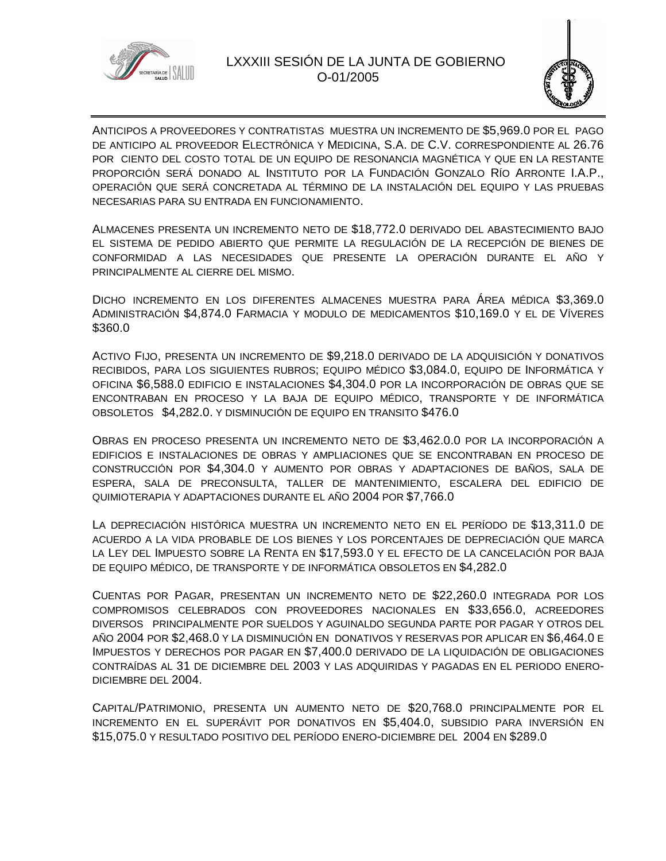

# LXXXIII SESIÓN DE LA JUNTA DE GOBIERNO O-01/2005



ANTICIPOS A PROVEEDORES Y CONTRATISTAS MUESTRA UN INCREMENTO DE \$5,969.0 POR EL PAGO DE ANTICIPO AL PROVEEDOR ELECTRÓNICA Y MEDICINA, S.A. DE C.V. CORRESPONDIENTE AL 26.76 POR CIENTO DEL COSTO TOTAL DE UN EQUIPO DE RESONANCIA MAGNÉTICA Y QUE EN LA RESTANTE PROPORCIÓN SERÁ DONADO AL INSTITUTO POR LA FUNDACIÓN GONZALO RÍO ARRONTE I.A.P., OPERACIÓN QUE SERÁ CONCRETADA AL TÉRMINO DE LA INSTALACIÓN DEL EQUIPO Y LAS PRUEBAS NECESARIAS PARA SU ENTRADA EN FUNCIONAMIENTO.

ALMACENES PRESENTA UN INCREMENTO NETO DE \$18,772.0 DERIVADO DEL ABASTECIMIENTO BAJO EL SISTEMA DE PEDIDO ABIERTO QUE PERMITE LA REGULACIÓN DE LA RECEPCIÓN DE BIENES DE CONFORMIDAD A LAS NECESIDADES QUE PRESENTE LA OPERACIÓN DURANTE EL AÑO Y PRINCIPALMENTE AL CIERRE DEL MISMO.

DICHO INCREMENTO EN LOS DIFERENTES ALMACENES MUESTRA PARA ÁREA MÉDICA \$3,369.0 ADMINISTRACIÓN \$4,874.0 FARMACIA Y MODULO DE MEDICAMENTOS \$10,169.0 Y EL DE VÍVERES \$360.0

ACTIVO FIJO, PRESENTA UN INCREMENTO DE \$9,218.0 DERIVADO DE LA ADQUISICIÓN Y DONATIVOS RECIBIDOS, PARA LOS SIGUIENTES RUBROS; EQUIPO MÉDICO \$3,084.0, EQUIPO DE INFORMÁTICA Y OFICINA \$6,588.0 EDIFICIO E INSTALACIONES \$4,304.0 POR LA INCORPORACIÓN DE OBRAS QUE SE ENCONTRABAN EN PROCESO Y LA BAJA DE EQUIPO MÉDICO, TRANSPORTE Y DE INFORMÁTICA OBSOLETOS \$4,282.0. Y DISMINUCIÓN DE EQUIPO EN TRANSITO \$476.0

OBRAS EN PROCESO PRESENTA UN INCREMENTO NETO DE \$3,462.0.0 POR LA INCORPORACIÓN A EDIFICIOS E INSTALACIONES DE OBRAS Y AMPLIACIONES QUE SE ENCONTRABAN EN PROCESO DE CONSTRUCCIÓN POR \$4,304.0 Y AUMENTO POR OBRAS Y ADAPTACIONES DE BAÑOS, SALA DE ESPERA, SALA DE PRECONSULTA, TALLER DE MANTENIMIENTO, ESCALERA DEL EDIFICIO DE QUIMIOTERAPIA Y ADAPTACIONES DURANTE EL AÑO 2004 POR \$7,766.0

LA DEPRECIACIÓN HISTÓRICA MUESTRA UN INCREMENTO NETO EN EL PERÍODO DE \$13,311.0 DE ACUERDO A LA VIDA PROBABLE DE LOS BIENES Y LOS PORCENTAJES DE DEPRECIACIÓN QUE MARCA LA LEY DEL IMPUESTO SOBRE LA RENTA EN \$17,593.0 Y EL EFECTO DE LA CANCELACIÓN POR BAJA DE EQUIPO MÉDICO, DE TRANSPORTE Y DE INFORMÁTICA OBSOLETOS EN \$4,282.0

CUENTAS POR PAGAR, PRESENTAN UN INCREMENTO NETO DE \$22,260.0 INTEGRADA POR LOS COMPROMISOS CELEBRADOS CON PROVEEDORES NACIONALES EN \$33,656.0, ACREEDORES DIVERSOS PRINCIPALMENTE POR SUELDOS Y AGUINALDO SEGUNDA PARTE POR PAGAR Y OTROS DEL AÑO 2004 POR \$2,468.0 Y LA DISMINUCIÓN EN DONATIVOS Y RESERVAS POR APLICAR EN \$6,464.0 E IMPUESTOS Y DERECHOS POR PAGAR EN \$7,400.0 DERIVADO DE LA LIQUIDACIÓN DE OBLIGACIONES CONTRAÍDAS AL 31 DE DICIEMBRE DEL 2003 Y LAS ADQUIRIDAS Y PAGADAS EN EL PERIODO ENERO-DICIEMBRE DEL 2004.

CAPITAL/PATRIMONIO, PRESENTA UN AUMENTO NETO DE \$20,768.0 PRINCIPALMENTE POR EL INCREMENTO EN EL SUPERÁVIT POR DONATIVOS EN \$5,404.0, SUBSIDIO PARA INVERSIÓN EN \$15,075.0 Y RESULTADO POSITIVO DEL PERÍODO ENERO-DICIEMBRE DEL 2004 EN \$289.0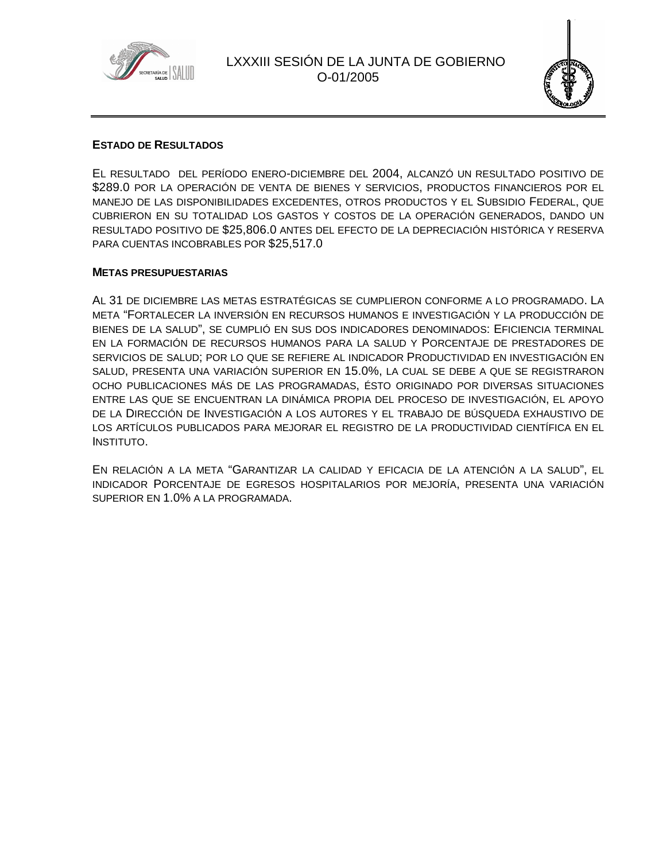



#### **ESTADO DE RESULTADOS**

EL RESULTADO DEL PERÍODO ENERO-DICIEMBRE DEL 2004, ALCANZÓ UN RESULTADO POSITIVO DE \$289.0 POR LA OPERACIÓN DE VENTA DE BIENES Y SERVICIOS, PRODUCTOS FINANCIEROS POR EL MANEJO DE LAS DISPONIBILIDADES EXCEDENTES, OTROS PRODUCTOS Y EL SUBSIDIO FEDERAL, QUE CUBRIERON EN SU TOTALIDAD LOS GASTOS Y COSTOS DE LA OPERACIÓN GENERADOS, DANDO UN RESULTADO POSITIVO DE \$25,806.0 ANTES DEL EFECTO DE LA DEPRECIACIÓN HISTÓRICA Y RESERVA PARA CUENTAS INCOBRABLES POR \$25,517.0

#### **METAS PRESUPUESTARIAS**

AL 31 DE DICIEMBRE LAS METAS ESTRATÉGICAS SE CUMPLIERON CONFORME A LO PROGRAMADO. LA META "FORTALECER LA INVERSIÓN EN RECURSOS HUMANOS E INVESTIGACIÓN Y LA PRODUCCIÓN DE BIENES DE LA SALUD", SE CUMPLIÓ EN SUS DOS INDICADORES DENOMINADOS: EFICIENCIA TERMINAL EN LA FORMACIÓN DE RECURSOS HUMANOS PARA LA SALUD Y PORCENTAJE DE PRESTADORES DE SERVICIOS DE SALUD; POR LO QUE SE REFIERE AL INDICADOR PRODUCTIVIDAD EN INVESTIGACIÓN EN SALUD, PRESENTA UNA VARIACIÓN SUPERIOR EN 15.0%, LA CUAL SE DEBE A QUE SE REGISTRARON OCHO PUBLICACIONES MÁS DE LAS PROGRAMADAS, ÉSTO ORIGINADO POR DIVERSAS SITUACIONES ENTRE LAS QUE SE ENCUENTRAN LA DINÁMICA PROPIA DEL PROCESO DE INVESTIGACIÓN, EL APOYO DE LA DIRECCIÓN DE INVESTIGACIÓN A LOS AUTORES Y EL TRABAJO DE BÚSQUEDA EXHAUSTIVO DE LOS ARTÍCULOS PUBLICADOS PARA MEJORAR EL REGISTRO DE LA PRODUCTIVIDAD CIENTÍFICA EN EL INSTITUTO.

EN RELACIÓN A LA META "GARANTIZAR LA CALIDAD Y EFICACIA DE LA ATENCIÓN A LA SALUD", EL INDICADOR PORCENTAJE DE EGRESOS HOSPITALARIOS POR MEJORÍA, PRESENTA UNA VARIACIÓN SUPERIOR EN 1.0% A LA PROGRAMADA.